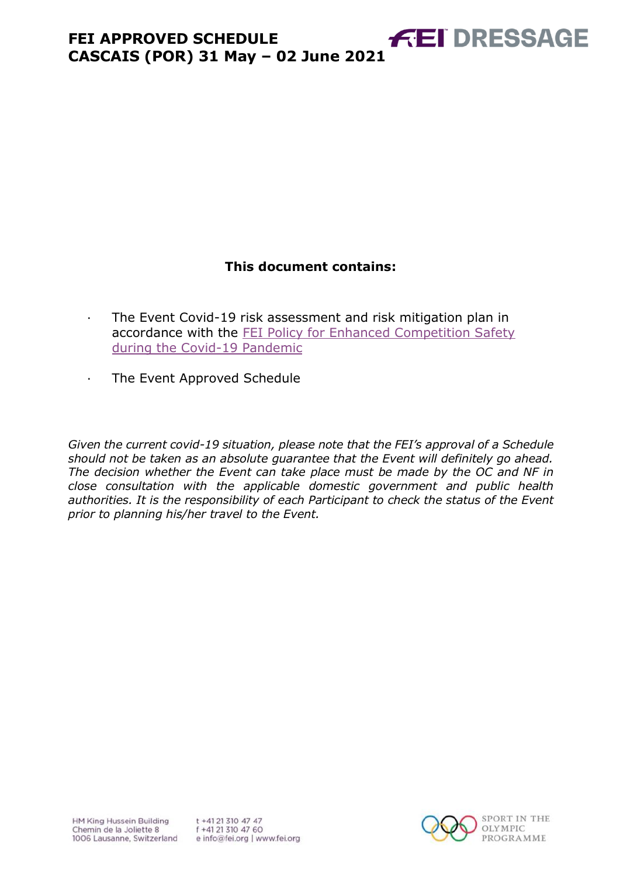# **This document contains:**

- <span id="page-0-0"></span>· The Event Covid-19 risk assessment and risk mitigation plan in accordance with the [FEI Policy for Enhanced Competition Safety](https://inside.fei.org/fei/covid-19/return-to-play)  [during the Covid-19 Pandemic](https://inside.fei.org/fei/covid-19/return-to-play)
- · The Event Approved Schedule

*Given the current covid-19 situation, please note that the FEI's approval of a Schedule should not be taken as an absolute guarantee that the Event will definitely go ahead. The decision whether the Event can take place must be made by the OC and NF in close consultation with the applicable domestic government and public health authorities. It is the responsibility of each Participant to check the status of the Event prior to planning his/her travel to the Event.*



**FEI DRESSAGE**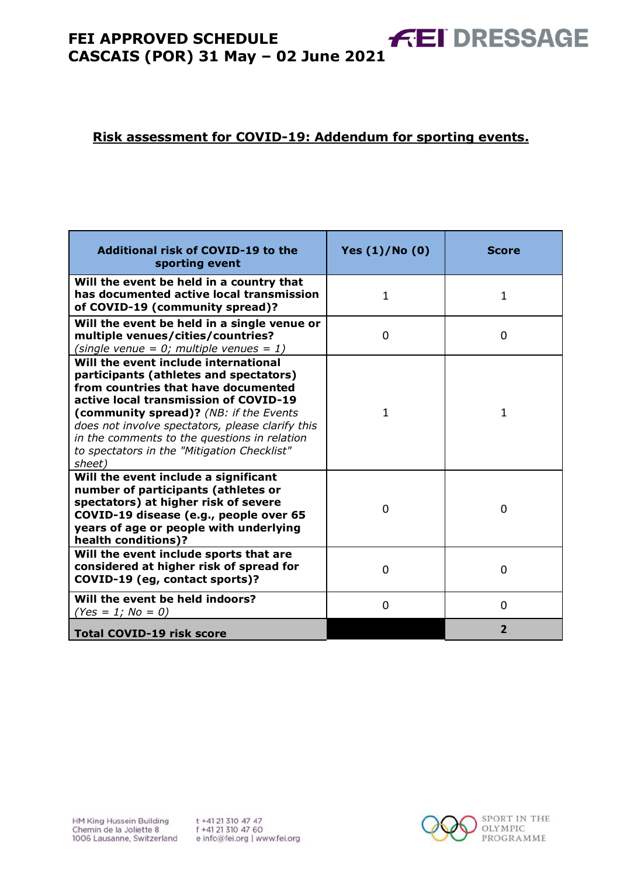### **Risk assessment for COVID-19: Addendum for sporting events.**

| Additional risk of COVID-19 to the<br>sporting event                                                                                                                                                                                                                                                                                                                  | Yes $(1)/N$ o $(0)$ | <b>Score</b>   |
|-----------------------------------------------------------------------------------------------------------------------------------------------------------------------------------------------------------------------------------------------------------------------------------------------------------------------------------------------------------------------|---------------------|----------------|
| Will the event be held in a country that<br>has documented active local transmission<br>of COVID-19 (community spread)?                                                                                                                                                                                                                                               | $\mathbf{1}$        | $\mathbf{1}$   |
| Will the event be held in a single venue or<br>multiple venues/cities/countries?<br>(single venue = $0$ ; multiple venues = 1)                                                                                                                                                                                                                                        | $\Omega$            | 0              |
| Will the event include international<br>participants (athletes and spectators)<br>from countries that have documented<br>active local transmission of COVID-19<br>(community spread)? (NB: if the Events<br>does not involve spectators, please clarify this<br>in the comments to the questions in relation<br>to spectators in the "Mitigation Checklist"<br>sheet) | 1                   | 1              |
| Will the event include a significant<br>number of participants (athletes or<br>spectators) at higher risk of severe<br>COVID-19 disease (e.g., people over 65<br>years of age or people with underlying<br>health conditions)?                                                                                                                                        | 0                   | $\Omega$       |
| Will the event include sports that are<br>considered at higher risk of spread for<br>COVID-19 (eg, contact sports)?                                                                                                                                                                                                                                                   | $\Omega$            | $\Omega$       |
| Will the event be held indoors?<br>$(Yes = 1; No = 0)$                                                                                                                                                                                                                                                                                                                | 0                   | $\overline{0}$ |
| <b>Total COVID-19 risk score</b>                                                                                                                                                                                                                                                                                                                                      |                     | $\overline{2}$ |

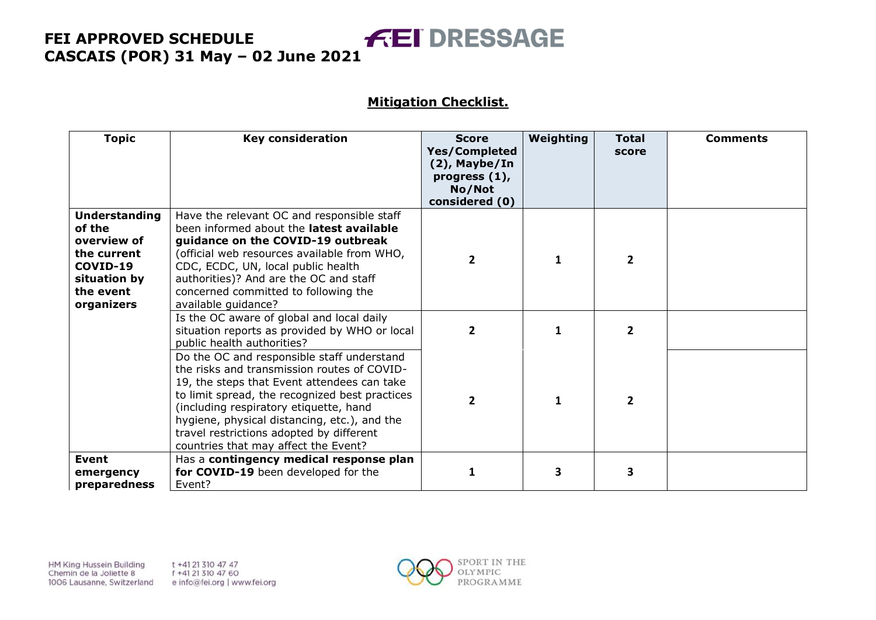### **Mitigation Checklist.**

| <b>Topic</b>                                                                                                        | <b>Key consideration</b>                                                                                                                                                                                                                                                                                                                                                 | <b>Score</b><br><b>Yes/Completed</b><br>$(2)$ , Maybe/In<br>progress $(1)$ ,<br>No/Not<br>considered (0) | Weighting    | <b>Total</b><br>score | <b>Comments</b> |
|---------------------------------------------------------------------------------------------------------------------|--------------------------------------------------------------------------------------------------------------------------------------------------------------------------------------------------------------------------------------------------------------------------------------------------------------------------------------------------------------------------|----------------------------------------------------------------------------------------------------------|--------------|-----------------------|-----------------|
| <b>Understanding</b><br>of the<br>overview of<br>the current<br>COVID-19<br>situation by<br>the event<br>organizers | Have the relevant OC and responsible staff<br>been informed about the <b>latest available</b><br>guidance on the COVID-19 outbreak<br>(official web resources available from WHO,<br>CDC, ECDC, UN, local public health<br>authorities)? And are the OC and staff<br>concerned committed to following the<br>available guidance?                                         | $\overline{2}$                                                                                           | 1            | $\overline{2}$        |                 |
|                                                                                                                     | Is the OC aware of global and local daily<br>situation reports as provided by WHO or local<br>public health authorities?                                                                                                                                                                                                                                                 | $\mathbf{2}$                                                                                             | 1            | $\overline{2}$        |                 |
|                                                                                                                     | Do the OC and responsible staff understand<br>the risks and transmission routes of COVID-<br>19, the steps that Event attendees can take<br>to limit spread, the recognized best practices<br>(including respiratory etiquette, hand<br>hygiene, physical distancing, etc.), and the<br>travel restrictions adopted by different<br>countries that may affect the Event? | $\mathbf{2}$                                                                                             | $\mathbf{1}$ | $\mathbf{2}$          |                 |
| <b>Event</b><br>emergency<br>preparedness                                                                           | Has a contingency medical response plan<br>for COVID-19 been developed for the<br>Event?                                                                                                                                                                                                                                                                                 | 1                                                                                                        | 3            | 3                     |                 |

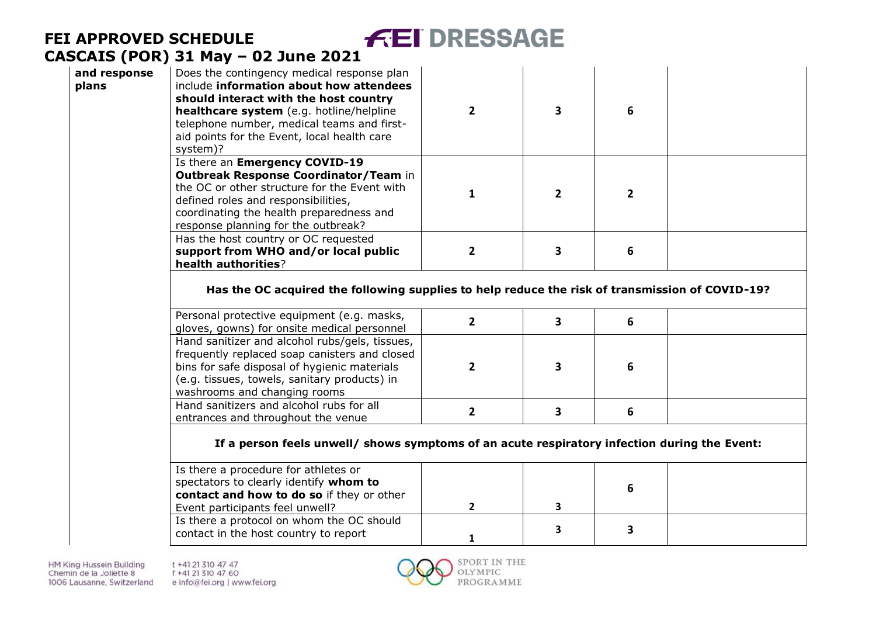| and response<br>plans | Does the contingency medical response plan<br>include information about how attendees<br>should interact with the host country<br>healthcare system (e.g. hotline/helpline<br>telephone number, medical teams and first-<br>aid points for the Event, local health care<br>system)? |  | 6 |  |
|-----------------------|-------------------------------------------------------------------------------------------------------------------------------------------------------------------------------------------------------------------------------------------------------------------------------------|--|---|--|
|                       | Is there an Emergency COVID-19<br><b>Outbreak Response Coordinator/Team in</b><br>the OC or other structure for the Event with<br>defined roles and responsibilities,<br>coordinating the health preparedness and<br>response planning for the outbreak?                            |  |   |  |
|                       | Has the host country or OC requested<br>support from WHO and/or local public<br>health authorities?                                                                                                                                                                                 |  | 6 |  |
|                       | Has the OC acquired the following cupplies to belp reduce the rick of transmission of COVID-102                                                                                                                                                                                     |  |   |  |

**FEI DRESSAGE** 

#### **Has the OC acquired the following supplies to help reduce the risk of transmission of COVID-19?**

| Personal protective equipment (e.g. masks,<br>gloves, gowns) for onsite medical personnel                                                                                                                                       |  |  |
|---------------------------------------------------------------------------------------------------------------------------------------------------------------------------------------------------------------------------------|--|--|
| Hand sanitizer and alcohol rubs/gels, tissues,<br>frequently replaced soap canisters and closed<br>bins for safe disposal of hygienic materials<br>(e.g. tissues, towels, sanitary products) in<br>washrooms and changing rooms |  |  |
| Hand sanitizers and alcohol rubs for all<br>entrances and throughout the venue                                                                                                                                                  |  |  |

### **If a person feels unwell/ shows symptoms of an acute respiratory infection during the Event:**

| Is there a procedure for athletes or<br>spectators to clearly identify whom to |  |  |
|--------------------------------------------------------------------------------|--|--|
|                                                                                |  |  |
| contact and how to do so if they or other                                      |  |  |
| Event participants feel unwell?                                                |  |  |
| Is there a protocol on whom the OC should                                      |  |  |
| contact in the host country to report                                          |  |  |
|                                                                                |  |  |

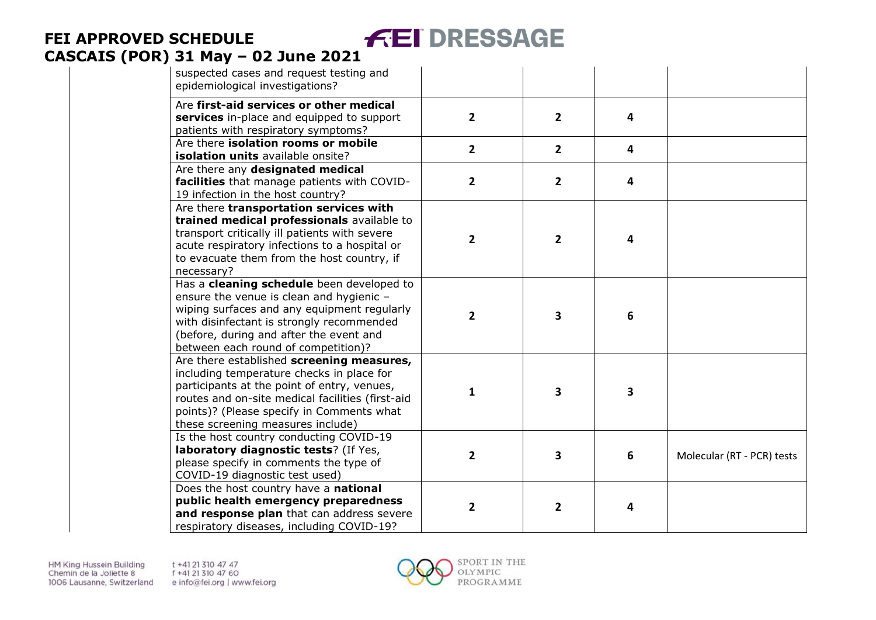| suspected cases and request testing and<br>epidemiological investigations?                                                                                                                                                                                                  |                         |                         |                         |                            |
|-----------------------------------------------------------------------------------------------------------------------------------------------------------------------------------------------------------------------------------------------------------------------------|-------------------------|-------------------------|-------------------------|----------------------------|
| Are first-aid services or other medical<br>services in-place and equipped to support<br>patients with respiratory symptoms?                                                                                                                                                 | $\overline{2}$          | $\overline{2}$          | 4                       |                            |
| Are there isolation rooms or mobile<br>isolation units available onsite?                                                                                                                                                                                                    | $\overline{2}$          | $\overline{2}$          | $\overline{\mathbf{4}}$ |                            |
| Are there any designated medical<br>facilities that manage patients with COVID-<br>19 infection in the host country?                                                                                                                                                        | $\mathbf{2}$            | 2                       | 4                       |                            |
| Are there transportation services with<br>trained medical professionals available to<br>transport critically ill patients with severe<br>acute respiratory infections to a hospital or<br>to evacuate them from the host country, if<br>necessary?                          | $\overline{\mathbf{2}}$ | 2                       | 4                       |                            |
| Has a cleaning schedule been developed to<br>ensure the venue is clean and hygienic -<br>wiping surfaces and any equipment regularly<br>with disinfectant is strongly recommended<br>(before, during and after the event and<br>between each round of competition)?         | $\overline{2}$          | 3                       | 6                       |                            |
| Are there established screening measures,<br>including temperature checks in place for<br>participants at the point of entry, venues,<br>routes and on-site medical facilities (first-aid<br>points)? (Please specify in Comments what<br>these screening measures include) | $\mathbf{1}$            | 3                       | 3                       |                            |
| Is the host country conducting COVID-19<br>laboratory diagnostic tests? (If Yes,<br>please specify in comments the type of<br>COVID-19 diagnostic test used)                                                                                                                | $\overline{2}$          | 3                       | $6\phantom{1}$          | Molecular (RT - PCR) tests |
| Does the host country have a national<br>public health emergency preparedness<br>and response plan that can address severe<br>respiratory diseases, including COVID-19?                                                                                                     | $\overline{2}$          | $\overline{\mathbf{2}}$ | 4                       |                            |

**FEI DRESSAGE** 

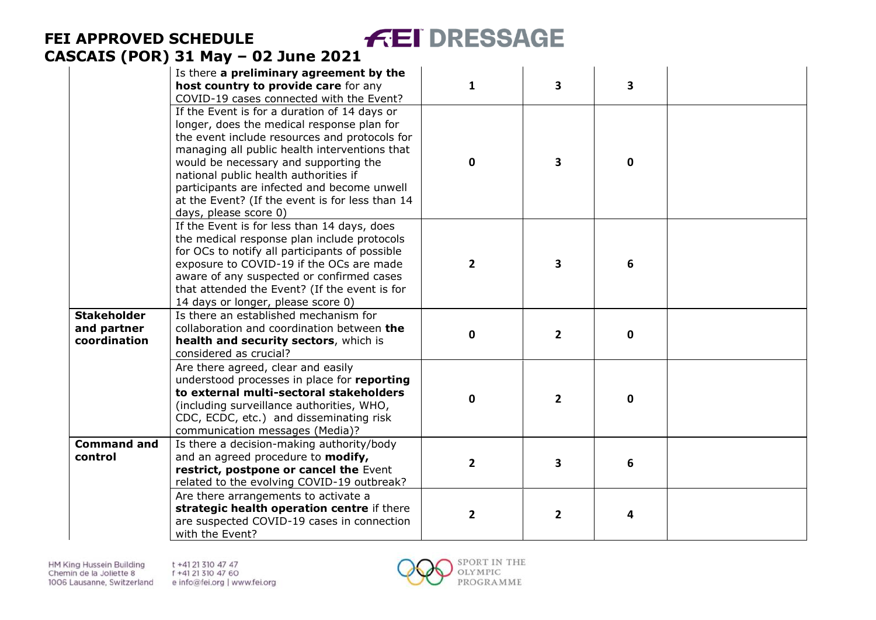|                                                   | Is there a preliminary agreement by the<br>host country to provide care for any<br>COVID-19 cases connected with the Event?                                                                                                                                                                                                                                                                               | $\mathbf{1}$   | $\overline{\mathbf{3}}$ | 3            |  |
|---------------------------------------------------|-----------------------------------------------------------------------------------------------------------------------------------------------------------------------------------------------------------------------------------------------------------------------------------------------------------------------------------------------------------------------------------------------------------|----------------|-------------------------|--------------|--|
|                                                   | If the Event is for a duration of 14 days or<br>longer, does the medical response plan for<br>the event include resources and protocols for<br>managing all public health interventions that<br>would be necessary and supporting the<br>national public health authorities if<br>participants are infected and become unwell<br>at the Event? (If the event is for less than 14<br>days, please score 0) | $\Omega$       | $\overline{\mathbf{3}}$ | $\mathbf{0}$ |  |
|                                                   | If the Event is for less than 14 days, does<br>the medical response plan include protocols<br>for OCs to notify all participants of possible<br>exposure to COVID-19 if the OCs are made<br>aware of any suspected or confirmed cases<br>that attended the Event? (If the event is for<br>14 days or longer, please score 0)                                                                              | $\overline{2}$ | $\overline{\mathbf{3}}$ | 6            |  |
| <b>Stakeholder</b><br>and partner<br>coordination | Is there an established mechanism for<br>collaboration and coordination between the<br>health and security sectors, which is<br>considered as crucial?                                                                                                                                                                                                                                                    | $\mathbf 0$    | $\overline{2}$          | $\mathbf 0$  |  |
|                                                   | Are there agreed, clear and easily<br>understood processes in place for reporting<br>to external multi-sectoral stakeholders<br>(including surveillance authorities, WHO,<br>CDC, ECDC, etc.) and disseminating risk<br>communication messages (Media)?                                                                                                                                                   | $\Omega$       | $\overline{2}$          | $\mathbf{0}$ |  |
| <b>Command and</b><br>control                     | Is there a decision-making authority/body<br>and an agreed procedure to modify,<br>restrict, postpone or cancel the Event<br>related to the evolving COVID-19 outbreak?                                                                                                                                                                                                                                   | $\overline{2}$ | 3                       | 6            |  |
|                                                   | Are there arrangements to activate a<br>strategic health operation centre if there<br>are suspected COVID-19 cases in connection<br>with the Event?                                                                                                                                                                                                                                                       | $\overline{2}$ | $\mathbf{2}$            | 4            |  |

**FEI DRESSAGE** 

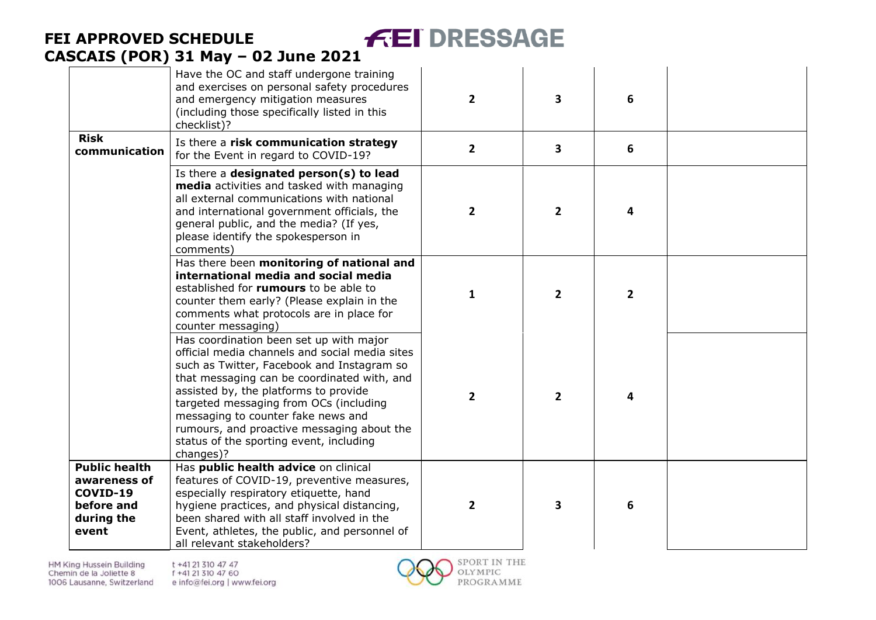|                                                                                       | CASCAIS (POR) 31 May - 02 June 2021                                                                                                                                                                                                                                                                                                                                                                                   |                |                |                |  |
|---------------------------------------------------------------------------------------|-----------------------------------------------------------------------------------------------------------------------------------------------------------------------------------------------------------------------------------------------------------------------------------------------------------------------------------------------------------------------------------------------------------------------|----------------|----------------|----------------|--|
|                                                                                       | Have the OC and staff undergone training<br>and exercises on personal safety procedures<br>and emergency mitigation measures<br>(including those specifically listed in this<br>checklist)?                                                                                                                                                                                                                           | $\overline{2}$ | 3              | 6              |  |
| <b>Risk</b><br>communication                                                          | Is there a risk communication strategy<br>for the Event in regard to COVID-19?                                                                                                                                                                                                                                                                                                                                        | $\overline{2}$ | 3              | 6              |  |
|                                                                                       | Is there a designated person(s) to lead<br>media activities and tasked with managing<br>all external communications with national<br>and international government officials, the<br>general public, and the media? (If yes,<br>please identify the spokesperson in<br>comments)                                                                                                                                       | $\overline{2}$ | $\overline{2}$ | 4              |  |
|                                                                                       | Has there been monitoring of national and<br>international media and social media<br>established for rumours to be able to<br>counter them early? (Please explain in the<br>comments what protocols are in place for<br>counter messaging)                                                                                                                                                                            | 1              | $\overline{2}$ | $\overline{2}$ |  |
|                                                                                       | Has coordination been set up with major<br>official media channels and social media sites<br>such as Twitter, Facebook and Instagram so<br>that messaging can be coordinated with, and<br>assisted by, the platforms to provide<br>targeted messaging from OCs (including<br>messaging to counter fake news and<br>rumours, and proactive messaging about the<br>status of the sporting event, including<br>changes)? | $\overline{2}$ | $\overline{2}$ | 4              |  |
| <b>Public health</b><br>awareness of<br>COVID-19<br>before and<br>during the<br>event | Has public health advice on clinical<br>features of COVID-19, preventive measures,<br>especially respiratory etiquette, hand<br>hygiene practices, and physical distancing,<br>been shared with all staff involved in the<br>Event, athletes, the public, and personnel of<br>all relevant stakeholders?                                                                                                              | $\mathbf{2}$   | 3              | 6              |  |

**FEI DRESSAGE** 

**FEI APPROVED SCHEDULE**

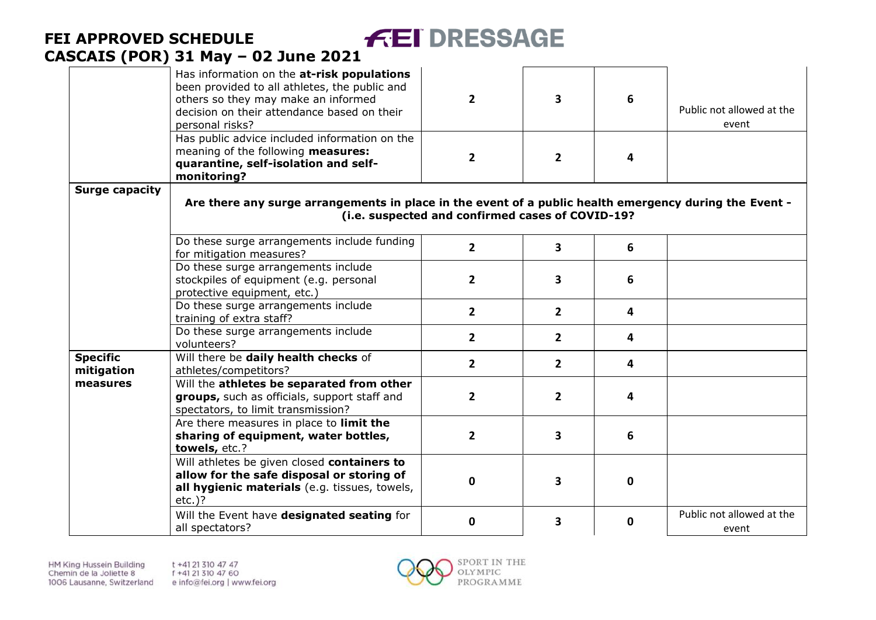|                               | Has information on the at-risk populations<br>been provided to all athletes, the public and<br>others so they may make an informed<br>decision on their attendance based on their<br>personal risks? | $\overline{2}$                                   | 3              | 6           | Public not allowed at the<br>event |
|-------------------------------|------------------------------------------------------------------------------------------------------------------------------------------------------------------------------------------------------|--------------------------------------------------|----------------|-------------|------------------------------------|
|                               | Has public advice included information on the<br>meaning of the following measures:<br>quarantine, self-isolation and self-<br>monitoring?                                                           | $\overline{2}$                                   | $\overline{2}$ | 4           |                                    |
| <b>Surge capacity</b>         | Are there any surge arrangements in place in the event of a public health emergency during the Event -                                                                                               | (i.e. suspected and confirmed cases of COVID-19? |                |             |                                    |
|                               | Do these surge arrangements include funding<br>for mitigation measures?                                                                                                                              | $\overline{2}$                                   | 3              | 6           |                                    |
|                               | Do these surge arrangements include<br>stockpiles of equipment (e.g. personal<br>protective equipment, etc.)                                                                                         | $\overline{2}$                                   | 3              | 6           |                                    |
|                               | Do these surge arrangements include<br>training of extra staff?                                                                                                                                      | $\overline{2}$                                   | $\overline{2}$ | 4           |                                    |
|                               | Do these surge arrangements include<br>volunteers?                                                                                                                                                   | $\overline{2}$                                   | $\overline{2}$ | 4           |                                    |
| <b>Specific</b><br>mitigation | Will there be daily health checks of<br>athletes/competitors?                                                                                                                                        | $\overline{2}$                                   | $\overline{2}$ | 4           |                                    |
| measures                      | Will the athletes be separated from other<br>groups, such as officials, support staff and<br>spectators, to limit transmission?                                                                      | $\overline{2}$                                   | $\overline{2}$ | 4           |                                    |
|                               | Are there measures in place to limit the<br>sharing of equipment, water bottles,<br>towels, etc.?                                                                                                    | $\overline{2}$                                   | 3              | 6           |                                    |
|                               | Will athletes be given closed containers to<br>allow for the safe disposal or storing of<br>all hygienic materials (e.g. tissues, towels,<br>$etc.$ )?                                               | 0                                                | 3              | $\mathbf 0$ |                                    |
|                               | Will the Event have designated seating for<br>all spectators?                                                                                                                                        | $\mathbf 0$                                      | 3              | $\mathbf 0$ | Public not allowed at the<br>event |

**FEI DRESSAGE** 

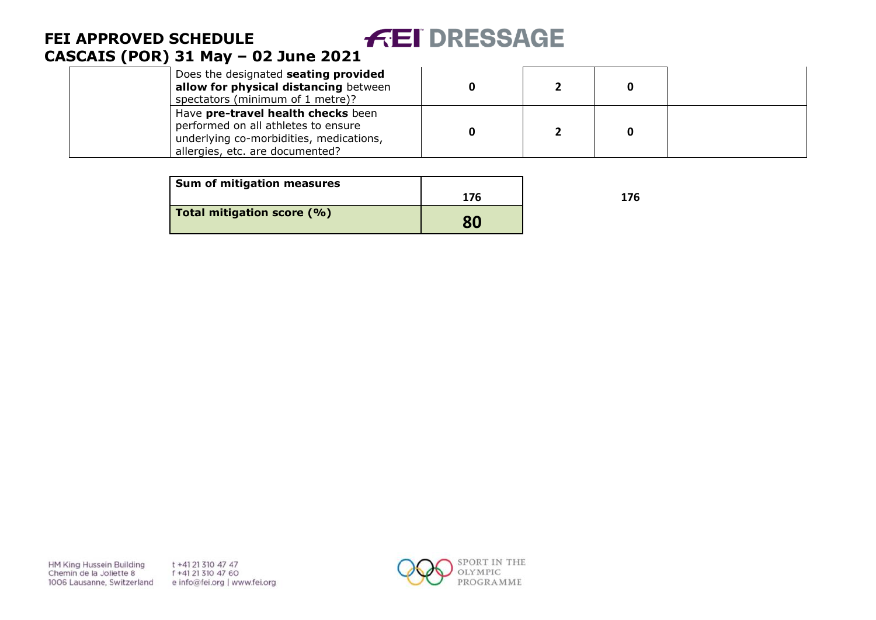| Does the designated seating provided<br>allow for physical distancing between<br>spectators (minimum of 1 metre)?                                       |  |  |
|---------------------------------------------------------------------------------------------------------------------------------------------------------|--|--|
| Have pre-travel health checks been<br>performed on all athletes to ensure<br>underlying co-morbidities, medications,<br>allergies, etc. are documented? |  |  |

| <b>Sum of mitigation measures</b> |     |     |
|-----------------------------------|-----|-----|
|                                   | 176 | 176 |
| Total mitigation score (%)        | 80  |     |

HM King Hussein Building Chemin de la Joliette 8 1006 Lausanne, Switzerland t +41 21 310 47 47 f +41 21 310 47 60 e info@fei.org | www.fei.org

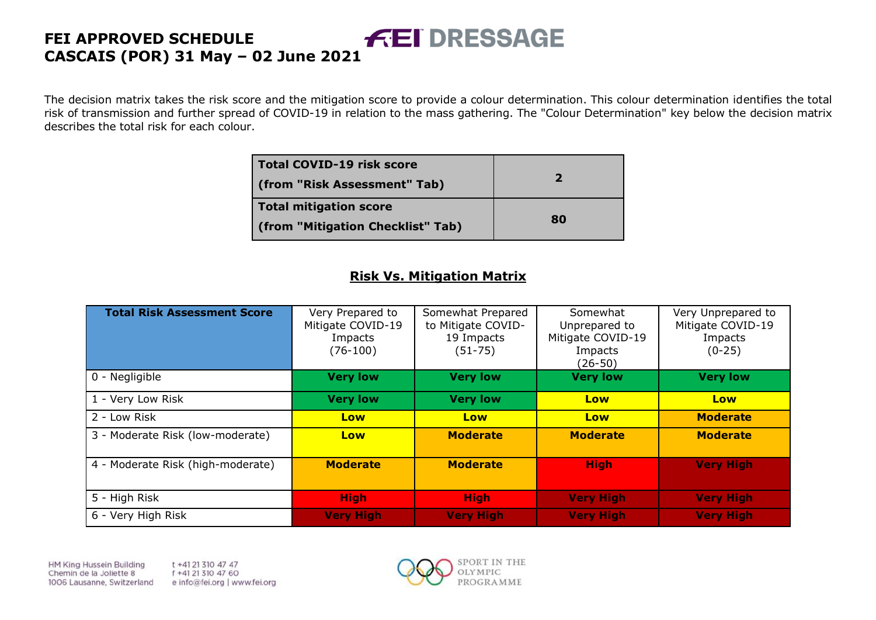The decision matrix takes the risk score and the mitigation score to provide a colour determination. This colour determination identifies the total risk of transmission and further spread of COVID-19 in relation to the mass gathering. The "Colour Determination" key below the decision matrix describes the total risk for each colour.

| <b>Total COVID-19 risk score</b><br>(from "Risk Assessment" Tab) | $\mathbf{z}$ |
|------------------------------------------------------------------|--------------|
| <b>Total mitigation score</b>                                    |              |
| (from "Mitigation Checklist" Tab)                                | 80           |

### **Risk Vs. Mitigation Matrix**

| <b>Total Risk Assessment Score</b> | Very Prepared to<br>Mitigate COVID-19<br>Impacts<br>$(76-100)$ | Somewhat Prepared<br>to Mitigate COVID-<br>19 Impacts<br>$(51 - 75)$ | Somewhat<br>Unprepared to<br>Mitigate COVID-19<br>Impacts<br>(26-50) | Very Unprepared to<br>Mitigate COVID-19<br>Impacts<br>$(0-25)$ |
|------------------------------------|----------------------------------------------------------------|----------------------------------------------------------------------|----------------------------------------------------------------------|----------------------------------------------------------------|
| 0 - Negligible                     | <b>Very low</b>                                                | <b>Very low</b>                                                      | <b>Very low</b>                                                      | <b>Very low</b>                                                |
| 1 - Very Low Risk                  | <b>Very low</b>                                                | <b>Very low</b>                                                      | Low                                                                  | Low                                                            |
| 2 - Low Risk                       | Low                                                            | Low                                                                  | Low                                                                  | <b>Moderate</b>                                                |
| 3 - Moderate Risk (low-moderate)   | Low                                                            | <b>Moderate</b>                                                      | <b>Moderate</b>                                                      | <b>Moderate</b>                                                |
| 4 - Moderate Risk (high-moderate)  | <b>Moderate</b>                                                | <b>Moderate</b>                                                      | <b>High</b>                                                          | <b>Very High</b>                                               |
| 5 - High Risk                      | <b>High</b>                                                    | <b>High</b>                                                          | <b>Very High</b>                                                     | <b>Very High</b>                                               |
| 6 - Very High Risk                 | <b>Very High</b>                                               | <b>Very High</b>                                                     | <b>Very High</b>                                                     | <b>Very High</b>                                               |

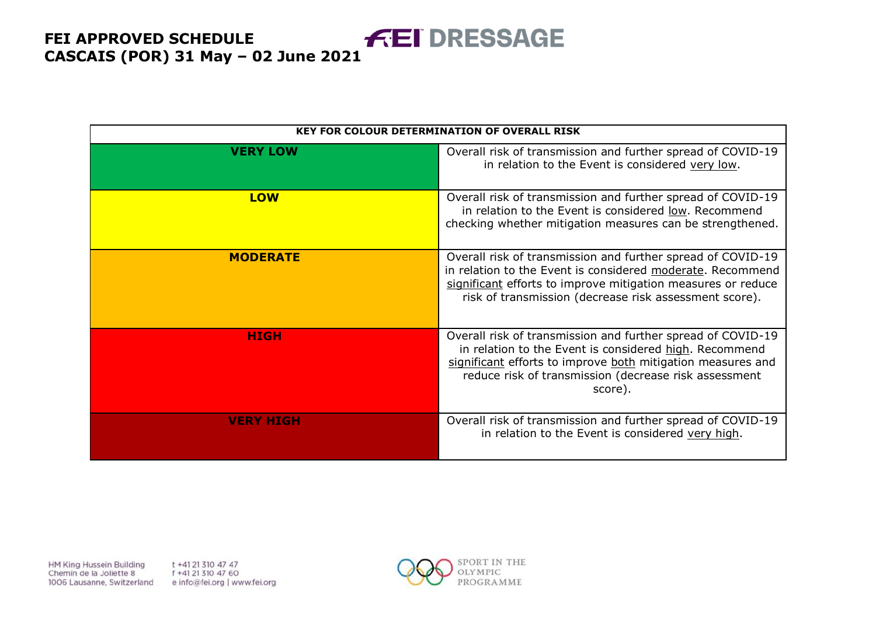|                  | <b>KEY FOR COLOUR DETERMINATION OF OVERALL RISK</b>                                                                                                                                                                                                      |
|------------------|----------------------------------------------------------------------------------------------------------------------------------------------------------------------------------------------------------------------------------------------------------|
| <b>VERY LOW</b>  | Overall risk of transmission and further spread of COVID-19<br>in relation to the Event is considered very low.                                                                                                                                          |
| <b>LOW</b>       | Overall risk of transmission and further spread of COVID-19<br>in relation to the Event is considered low. Recommend<br>checking whether mitigation measures can be strengthened.                                                                        |
| <b>MODERATE</b>  | Overall risk of transmission and further spread of COVID-19<br>in relation to the Event is considered moderate. Recommend<br>significant efforts to improve mitigation measures or reduce<br>risk of transmission (decrease risk assessment score).      |
| <b>HIGH</b>      | Overall risk of transmission and further spread of COVID-19<br>in relation to the Event is considered high. Recommend<br>significant efforts to improve both mitigation measures and<br>reduce risk of transmission (decrease risk assessment<br>score). |
| <b>VERY HIGH</b> | Overall risk of transmission and further spread of COVID-19<br>in relation to the Event is considered very high.                                                                                                                                         |

HM King Hussein Building Chemin de la Joliette 8 1006 Lausanne, Switzerland t +41 21 310 47 47 f +41 21 310 47 60 e info@fei.org | www.fei.org

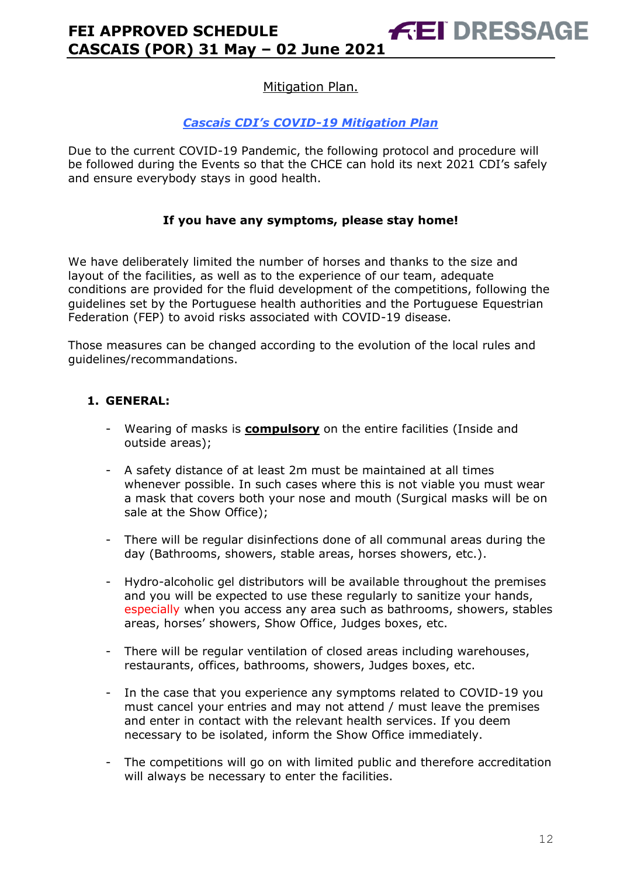### *Cascais CDI's COVID-19 Mitigation Plan*

Due to the current COVID-19 Pandemic, the following protocol and procedure will be followed during the Events so that the CHCE can hold its next 2021 CDI's safely and ensure everybody stays in good health.

### **If you have any symptoms, please stay home!**

We have deliberately limited the number of horses and thanks to the size and layout of the facilities, as well as to the experience of our team, adequate conditions are provided for the fluid development of the competitions, following the guidelines set by the Portuguese health authorities and the Portuguese Equestrian Federation (FEP) to avoid risks associated with COVID-19 disease.

Those measures can be changed according to the evolution of the local rules and guidelines/recommandations.

### **1. GENERAL:**

- Wearing of masks is **compulsory** on the entire facilities (Inside and outside areas);
- A safety distance of at least 2m must be maintained at all times whenever possible. In such cases where this is not viable you must wear a mask that covers both your nose and mouth (Surgical masks will be on sale at the Show Office);
- There will be regular disinfections done of all communal areas during the day (Bathrooms, showers, stable areas, horses showers, etc.).
- Hydro-alcoholic gel distributors will be available throughout the premises and you will be expected to use these regularly to sanitize your hands, especially when you access any area such as bathrooms, showers, stables areas, horses' showers, Show Office, Judges boxes, etc.
- There will be regular ventilation of closed areas including warehouses, restaurants, offices, bathrooms, showers, Judges boxes, etc.
- In the case that you experience any symptoms related to COVID-19 you must cancel your entries and may not attend / must leave the premises and enter in contact with the relevant health services. If you deem necessary to be isolated, inform the Show Office immediately.
- The competitions will go on with limited public and therefore accreditation will always be necessary to enter the facilities.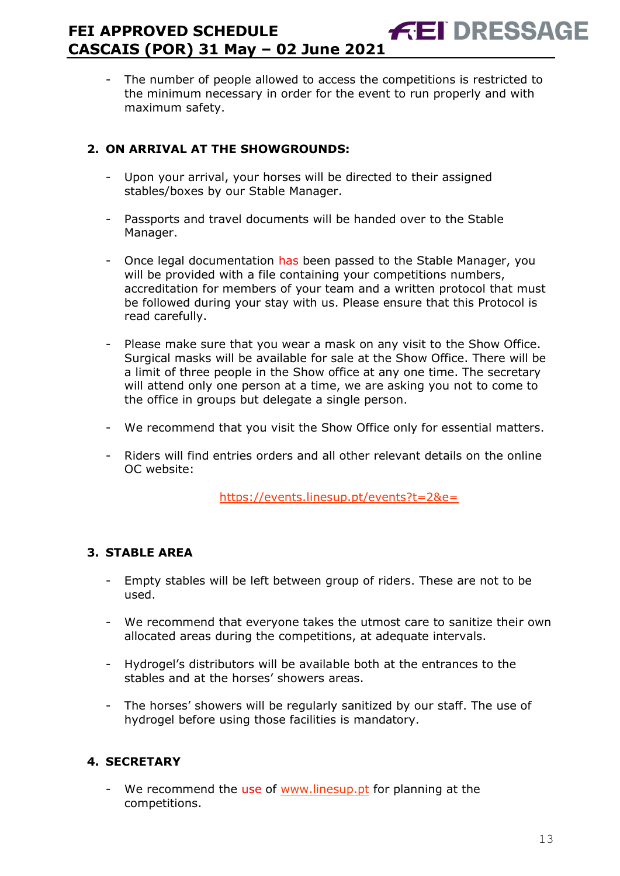The number of people allowed to access the competitions is restricted to the minimum necessary in order for the event to run properly and with maximum safety.

# **2. ON ARRIVAL AT THE SHOWGROUNDS:**

- Upon your arrival, your horses will be directed to their assigned stables/boxes by our Stable Manager.
- Passports and travel documents will be handed over to the Stable Manager.
- Once legal documentation has been passed to the Stable Manager, you will be provided with a file containing your competitions numbers, accreditation for members of your team and a written protocol that must be followed during your stay with us. Please ensure that this Protocol is read carefully.
- Please make sure that you wear a mask on any visit to the Show Office. Surgical masks will be available for sale at the Show Office. There will be a limit of three people in the Show office at any one time. The secretary will attend only one person at a time, we are asking you not to come to the office in groups but delegate a single person.
- We recommend that you visit the Show Office only for essential matters.
- Riders will find entries orders and all other relevant details on the online OC website:

<https://events.linesup.pt/events?t=2&e=>

# **3. STABLE AREA**

- Empty stables will be left between group of riders. These are not to be used.
- We recommend that everyone takes the utmost care to sanitize their own allocated areas during the competitions, at adequate intervals.
- Hydrogel's distributors will be available both at the entrances to the stables and at the horses' showers areas.
- The horses' showers will be regularly sanitized by our staff. The use of hydrogel before using those facilities is mandatory.

# **4. SECRETARY**

We recommend the use of [www.linesup.pt](http://www.linesup.pt/) for planning at the competitions.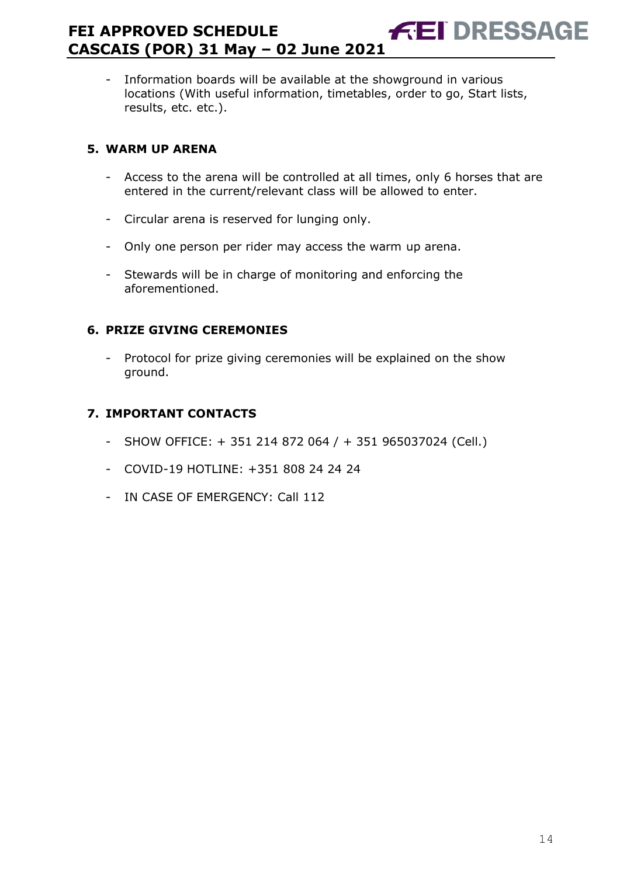- Information boards will be available at the showground in various locations (With useful information, timetables, order to go, Start lists, results, etc. etc.).

# **5. WARM UP ARENA**

- Access to the arena will be controlled at all times, only 6 horses that are entered in the current/relevant class will be allowed to enter.
- Circular arena is reserved for lunging only.
- Only one person per rider may access the warm up arena.
- Stewards will be in charge of monitoring and enforcing the aforementioned.

# **6. PRIZE GIVING CEREMONIES**

- Protocol for prize giving ceremonies will be explained on the show ground.

# **7. IMPORTANT CONTACTS**

- SHOW OFFICE:  $+ 351 214 872 064 / + 351 965037024$  (Cell.)
- COVID-19 HOTLINE: +351 808 24 24 24
- IN CASE OF EMERGENCY: Call 112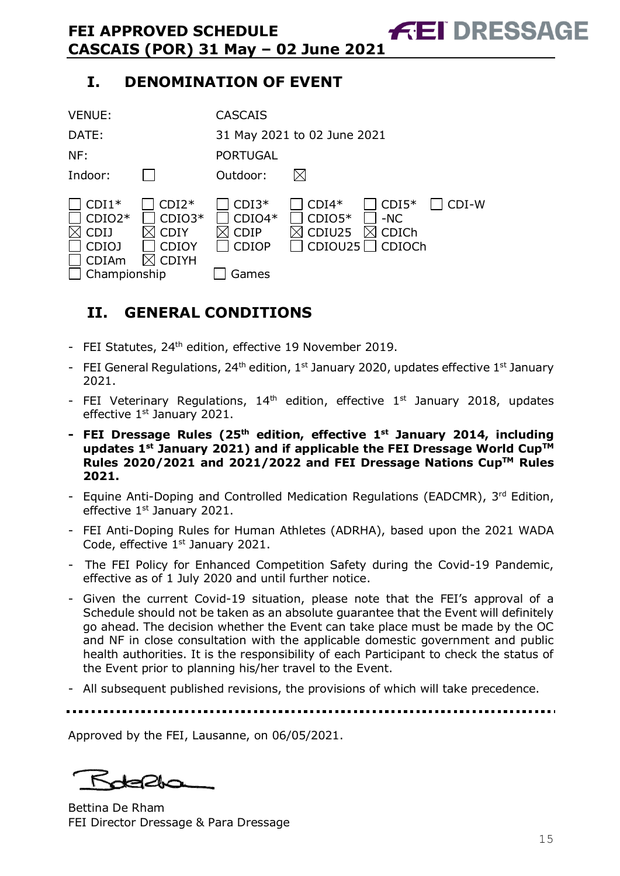# **I. DENOMINATION OF EVENT**

| <b>VENUE:</b>                                                                      |                                                                    | <b>CASCAIS</b>                                              |                               |                                                      |       |
|------------------------------------------------------------------------------------|--------------------------------------------------------------------|-------------------------------------------------------------|-------------------------------|------------------------------------------------------|-------|
| DATE:                                                                              |                                                                    | 31 May 2021 to 02 June 2021                                 |                               |                                                      |       |
| NF:                                                                                |                                                                    | <b>PORTUGAL</b>                                             |                               |                                                      |       |
| Indoor:                                                                            |                                                                    | Outdoor:                                                    | IХI                           |                                                      |       |
| $CDI1*$<br>$CDIO2*$<br><b>CDIJ</b><br><b>CDIOJ</b><br><b>CDIAm</b><br>Championship | $CDI2*$<br>$CDIO3*$<br><b>CDIY</b><br><b>CDIOY</b><br><b>CDIYH</b> | $CDI3*$<br>$CDIO4*$<br><b>CDIP</b><br><b>CDIOP</b><br>Games | $CDI4*$<br>$CDIO5*$<br>CDIU25 | $CDI5*$<br>$-NC$<br><b>CDICh</b><br>$CDIOU25$ CDIOCh | CDI-W |

# <span id="page-14-0"></span>**II. GENERAL CONDITIONS**

- FEI Statutes, 24<sup>th</sup> edition, effective 19 November 2019.
- FEI General Regulations, 24<sup>th</sup> edition, 1<sup>st</sup> January 2020, updates effective 1<sup>st</sup> January 2021.
- FEI Veterinary Regulations,  $14<sup>th</sup>$  edition, effective  $1<sup>st</sup>$  January 2018, updates effective 1<sup>st</sup> January 2021.
- **- FEI Dressage Rules (25 th edition, effective 1st January 2014, including updates 1 st January 2021) and if applicable the FEI Dressage World CupTM Rules 2020/2021 and 2021/2022 and FEI Dressage Nations CupTM Rules 2021.**
- Equine Anti-Doping and Controlled Medication Regulations (EADCMR), 3rd Edition, effective 1<sup>st</sup> January 2021.
- FEI Anti-Doping Rules for Human Athletes (ADRHA), based upon the 2021 WADA Code, effective 1<sup>st</sup> January 2021.
- The FEI Policy for Enhanced Competition Safety during the Covid-19 Pandemic, effective as of 1 July 2020 and until further notice.
- Given the current Covid-19 situation, please note that the FEI's approval of a Schedule should not be taken as an absolute guarantee that the Event will definitely go ahead. The decision whether the Event can take place must be made by the OC and NF in close consultation with the applicable domestic government and public health authorities. It is the responsibility of each Participant to check the status of the Event prior to planning his/her travel to the Event.
- All subsequent published revisions, the provisions of which will take precedence.

Approved by the FEI, Lausanne, on 06/05/2021.

Bettina De Rham FEI Director Dressage & Para Dressage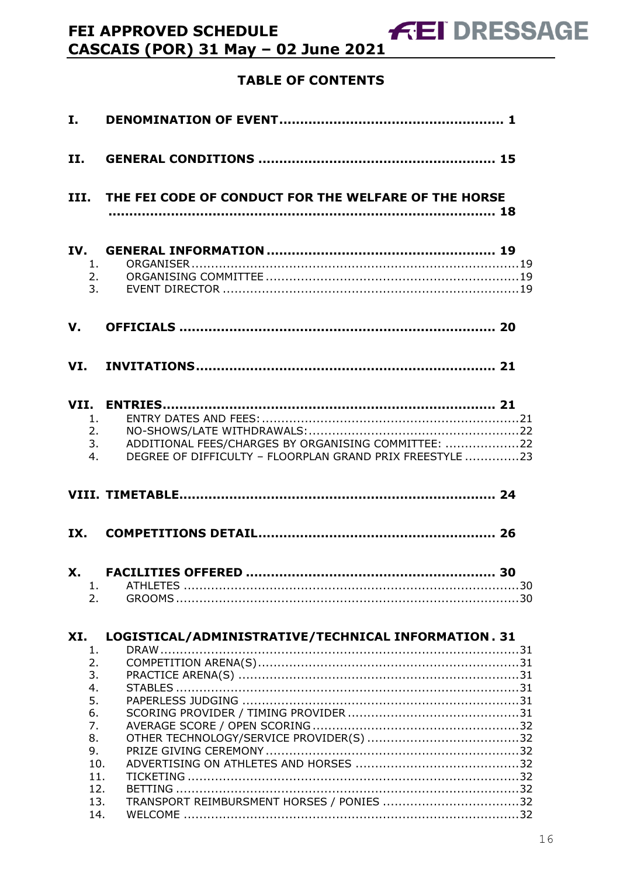# **TABLE OF CONTENTS**

| I.                                                                             |                                                                                                                 |
|--------------------------------------------------------------------------------|-----------------------------------------------------------------------------------------------------------------|
| II.                                                                            |                                                                                                                 |
|                                                                                | III. THE FEI CODE OF CONDUCT FOR THE WELFARE OF THE HORSE                                                       |
| IV.<br>1.<br>2.<br>3.                                                          |                                                                                                                 |
| V.                                                                             |                                                                                                                 |
|                                                                                |                                                                                                                 |
| 1.<br>2.<br>3.<br>4.                                                           | ADDITIONAL FEES/CHARGES BY ORGANISING COMMITTEE: 22<br>DEGREE OF DIFFICULTY - FLOORPLAN GRAND PRIX FREESTYLE 23 |
|                                                                                |                                                                                                                 |
| IX.                                                                            |                                                                                                                 |
| 1.<br>2.                                                                       | ………. 30                                                                                                         |
| XI.<br>1.<br>2.<br>3.<br>4.<br>5.<br>6.<br>7.<br>8.<br>9.<br>10.<br>11.<br>12. | LOGISTICAL/ADMINISTRATIVE/TECHNICAL INFORMATION. 31                                                             |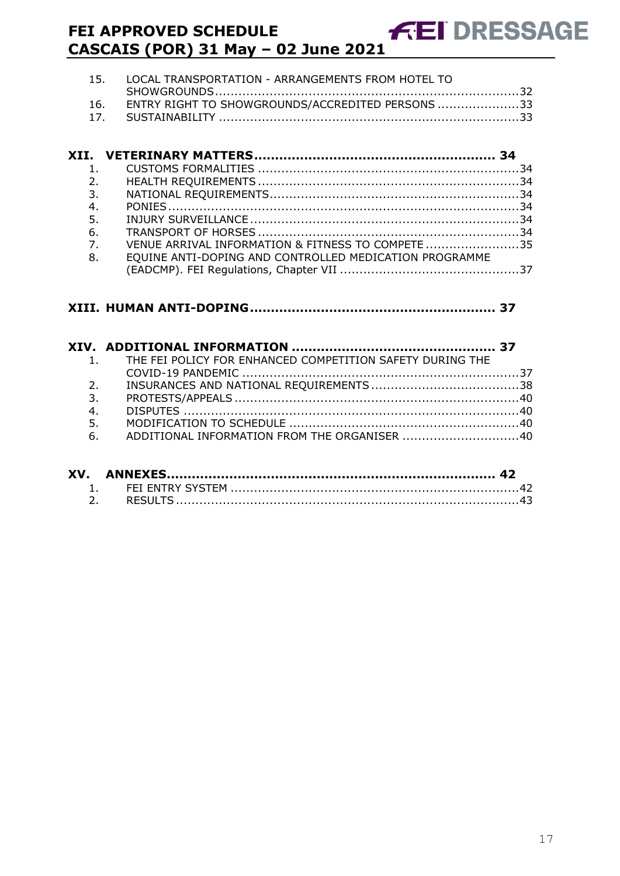| 15. LOCAL TRANSPORTATION - ARRANGEMENTS FROM HOTEL TO |
|-------------------------------------------------------|
|                                                       |
| 16. ENTRY RIGHT TO SHOWGROUNDS/ACCREDITED PERSONS 33  |
|                                                       |

| $\mathbf{1}$ .   |                                                        |  |
|------------------|--------------------------------------------------------|--|
| 2.               |                                                        |  |
| 3.               |                                                        |  |
| 4.               |                                                        |  |
| 5.               |                                                        |  |
| 6.               |                                                        |  |
| $\overline{7}$ . | VENUE ARRIVAL INFORMATION & FITNESS TO COMPETE 35      |  |
| 8.               | EQUINE ANTI-DOPING AND CONTROLLED MEDICATION PROGRAMME |  |
|                  |                                                        |  |

### **XIII. [HUMAN ANTI-DOPING...........................................................](#page-36-1) 37**

|    | 1. THE FEI POLICY FOR ENHANCED COMPETITION SAFETY DURING THE |  |
|----|--------------------------------------------------------------|--|
|    |                                                              |  |
| 2. |                                                              |  |
| 3. |                                                              |  |
| 4. |                                                              |  |
| 5. |                                                              |  |
| 6. | ADDITIONAL INFORMATION FROM THE ORGANISER 40                 |  |
|    |                                                              |  |

| XV. |  |
|-----|--|
|     |  |
|     |  |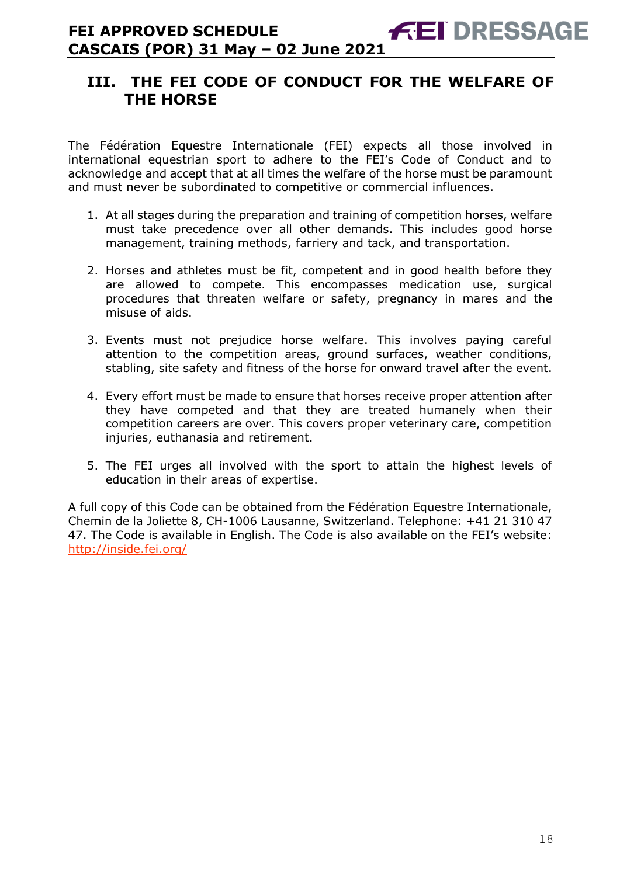# <span id="page-17-0"></span>**III. THE FEI CODE OF CONDUCT FOR THE WELFARE OF THE HORSE**

The Fédération Equestre Internationale (FEI) expects all those involved in international equestrian sport to adhere to the FEI's Code of Conduct and to acknowledge and accept that at all times the welfare of the horse must be paramount and must never be subordinated to competitive or commercial influences.

- 1. At all stages during the preparation and training of competition horses, welfare must take precedence over all other demands. This includes good horse management, training methods, farriery and tack, and transportation.
- 2. Horses and athletes must be fit, competent and in good health before they are allowed to compete. This encompasses medication use, surgical procedures that threaten welfare or safety, pregnancy in mares and the misuse of aids.
- 3. Events must not prejudice horse welfare. This involves paying careful attention to the competition areas, ground surfaces, weather conditions, stabling, site safety and fitness of the horse for onward travel after the event.
- 4. Every effort must be made to ensure that horses receive proper attention after they have competed and that they are treated humanely when their competition careers are over. This covers proper veterinary care, competition injuries, euthanasia and retirement.
- 5. The FEI urges all involved with the sport to attain the highest levels of education in their areas of expertise.

A full copy of this Code can be obtained from the Fédération Equestre Internationale, Chemin de la Joliette 8, CH-1006 Lausanne, Switzerland. Telephone: +41 21 310 47 47. The Code is available in English. The Code is also available on the FEI's website: <http://inside.fei.org/>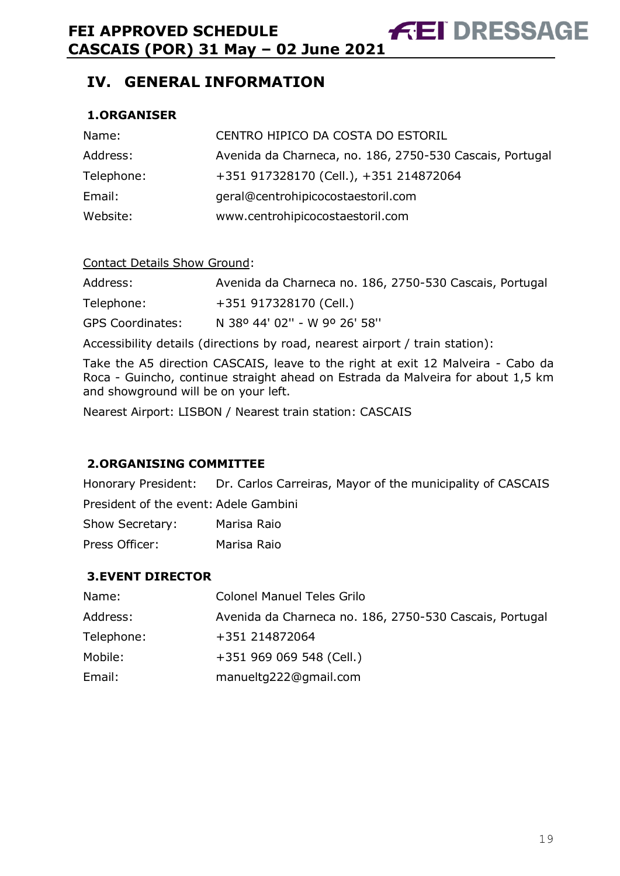<span id="page-18-0"></span>**IV. GENERAL INFORMATION**

### <span id="page-18-1"></span>**1.ORGANISER**

| Name:      | CENTRO HIPICO DA COSTA DO ESTORIL                        |
|------------|----------------------------------------------------------|
| Address:   | Avenida da Charneca, no. 186, 2750-530 Cascais, Portugal |
| Telephone: | +351 917328170 (Cell.), +351 214872064                   |
| Email:     | geral@centrohipicocostaestoril.com                       |
| Website:   | www.centrohipicocostaestoril.com                         |

### Contact Details Show Ground:

| Address:                | Avenida da Charneca no. 186, 2750-530 Cascais, Portugal |
|-------------------------|---------------------------------------------------------|
| Telephone:              | +351 917328170 (Cell.)                                  |
| <b>GPS Coordinates:</b> | N 38º 44' 02" - W 9º 26' 58"                            |

Accessibility details (directions by road, nearest airport / train station):

Take the A5 direction CASCAIS, leave to the right at exit 12 Malveira - Cabo da Roca - Guincho, continue straight ahead on Estrada da Malveira for about 1,5 km and showground will be on your left.

Nearest Airport: LISBON / Nearest train station: CASCAIS

### <span id="page-18-2"></span>**2.ORGANISING COMMITTEE**

Honorary President: Dr. Carlos Carreiras, Mayor of the municipality of CASCAIS

President of the event: Adele Gambini

| Show Secretary: |  | Marisa Raio |  |
|-----------------|--|-------------|--|
|                 |  |             |  |

Press Officer: Marisa Raio

### <span id="page-18-3"></span>**3.EVENT DIRECTOR**

| Name:      | <b>Colonel Manuel Teles Grilo</b>                       |
|------------|---------------------------------------------------------|
| Address:   | Avenida da Charneca no. 186, 2750-530 Cascais, Portugal |
| Telephone: | +351 214872064                                          |
| Mobile:    | +351 969 069 548 (Cell.)                                |
| Email:     | manueltg222@gmail.com                                   |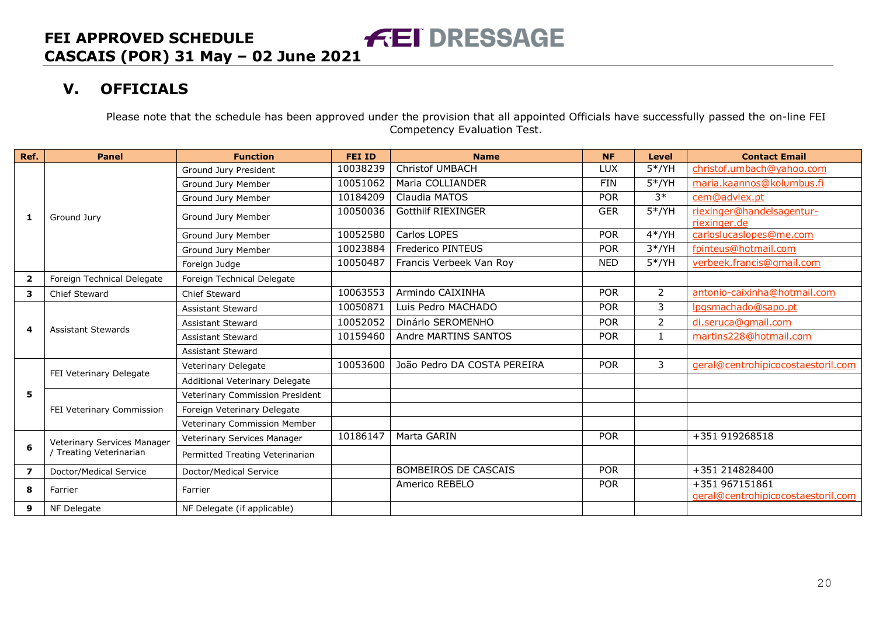# **V. OFFICIALS**

Please note that the schedule has been approved under the provision that all appointed Officials have successfully passed the on-line FEI Competency Evaluation Test.

<span id="page-19-0"></span>

| Ref.                    | <b>Panel</b>                | <b>Function</b>                 | <b>FEI ID</b> | <b>Name</b>                 | <b>NF</b>  | <b>Level</b>   | <b>Contact Email</b>                                 |
|-------------------------|-----------------------------|---------------------------------|---------------|-----------------------------|------------|----------------|------------------------------------------------------|
|                         |                             | Ground Jury President           | 10038239      | <b>Christof UMBACH</b>      | LUX        | $5*/YH$        | christof.umbach@yahoo.com                            |
|                         |                             | Ground Jury Member              | 10051062      | Maria COLLIANDER            | <b>FIN</b> | $5*/YH$        | maria.kaannos@kolumbus.fi                            |
|                         |                             | Ground Jury Member              | 10184209      | Claudia MATOS               | <b>POR</b> | $3*$           | cem@advlex.pt                                        |
| 1                       | Ground Jury                 | Ground Jury Member              | 10050036      | <b>Gotthilf RIEXINGER</b>   | <b>GER</b> | $5*/YH$        | riexinger@handelsagentur-<br>riexinger.de            |
|                         |                             | Ground Jury Member              | 10052580      | Carlos LOPES                | <b>POR</b> | $4*/YH$        | carloslucaslopes@me.com                              |
|                         |                             | Ground Jury Member              | 10023884      | <b>Frederico PINTEUS</b>    | <b>POR</b> | $3*/YH$        | fpinteus@hotmail.com                                 |
|                         |                             | Foreign Judge                   | 10050487      | Francis Verbeek Van Roy     | <b>NED</b> | $5*/YH$        | verbeek.francis@gmail.com                            |
| $\overline{\mathbf{2}}$ | Foreign Technical Delegate  | Foreign Technical Delegate      |               |                             |            |                |                                                      |
| 3                       | <b>Chief Steward</b>        | Chief Steward                   | 10063553      | Armindo CAIXINHA            | <b>POR</b> | $\overline{2}$ | antonio-caixinha@hotmail.com                         |
|                         |                             | <b>Assistant Steward</b>        | 10050871      | Luis Pedro MACHADO          | <b>POR</b> | 3              | Ipgsmachado@sapo.pt                                  |
| 4                       |                             | <b>Assistant Steward</b>        | 10052052      | Dinário SEROMENHO           | <b>POR</b> | $\overline{2}$ | di.seruca@gmail.com                                  |
|                         | <b>Assistant Stewards</b>   | <b>Assistant Steward</b>        | 10159460      | Andre MARTINS SANTOS        | <b>POR</b> | $\mathbf{1}$   | martins228@hotmail.com                               |
|                         |                             | <b>Assistant Steward</b>        |               |                             |            |                |                                                      |
|                         |                             | <b>Veterinary Delegate</b>      | 10053600      | João Pedro DA COSTA PEREIRA | <b>POR</b> | 3              | geral@centrohipicocostaestoril.com                   |
|                         | FEI Veterinary Delegate     | Additional Veterinary Delegate  |               |                             |            |                |                                                      |
| 5                       |                             | Veterinary Commission President |               |                             |            |                |                                                      |
|                         | FEI Veterinary Commission   | Foreign Veterinary Delegate     |               |                             |            |                |                                                      |
|                         |                             | Veterinary Commission Member    |               |                             |            |                |                                                      |
|                         | Veterinary Services Manager | Veterinary Services Manager     | 10186147      | Marta GARIN                 | <b>POR</b> |                | +351 919268518                                       |
| 6                       | Treating Veterinarian       | Permitted Treating Veterinarian |               |                             |            |                |                                                      |
| 7                       | Doctor/Medical Service      | Doctor/Medical Service          |               | <b>BOMBEIROS DE CASCAIS</b> | <b>POR</b> |                | +351 214828400                                       |
| 8                       | Farrier                     | Farrier                         |               | Americo REBELO              | <b>POR</b> |                | +351 967151861<br>geral@centrohipicocostaestoril.com |
| 9                       | NF Delegate                 | NF Delegate (if applicable)     |               |                             |            |                |                                                      |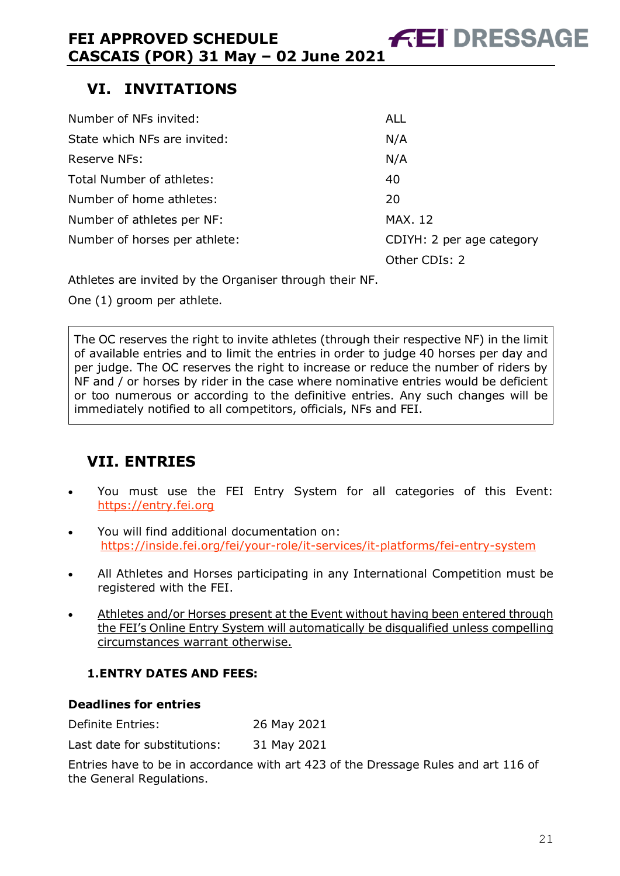# <span id="page-20-0"></span>**VI. INVITATIONS**

| <b>ALL</b>                |
|---------------------------|
| N/A                       |
| N/A                       |
| 40                        |
| 20                        |
| <b>MAX. 12</b>            |
| CDIYH: 2 per age category |
| Other CDIs: 2             |
|                           |

Athletes are invited by the Organiser through their NF.

One (1) groom per athlete.

The OC reserves the right to invite athletes (through their respective NF) in the limit of available entries and to limit the entries in order to judge 40 horses per day and per judge. The OC reserves the right to increase or reduce the number of riders by NF and / or horses by rider in the case where nominative entries would be deficient or too numerous or according to the definitive entries. Any such changes will be immediately notified to all competitors, officials, NFs and FEI.

# <span id="page-20-1"></span>**VII. ENTRIES**

- You must use the FEI Entry System for all categories of this Event: [https://entry.fei.org](https://entry.fei.org/)
- You will find additional documentation on: <https://inside.fei.org/fei/your-role/it-services/it-platforms/fei-entry-system>
- All Athletes and Horses participating in any International Competition must be registered with the FEI.
- Athletes and/or Horses present at the Event without having been entered through the FEI's Online Entry System will automatically be disqualified unless compelling circumstances warrant otherwise.

### <span id="page-20-2"></span>**1.ENTRY DATES AND FEES:**

### **Deadlines for entries**

Definite Entries: 26 May 2021

Last date for substitutions: 31 May 2021

Entries have to be in accordance with art 423 of the Dressage Rules and art 116 of the General Regulations.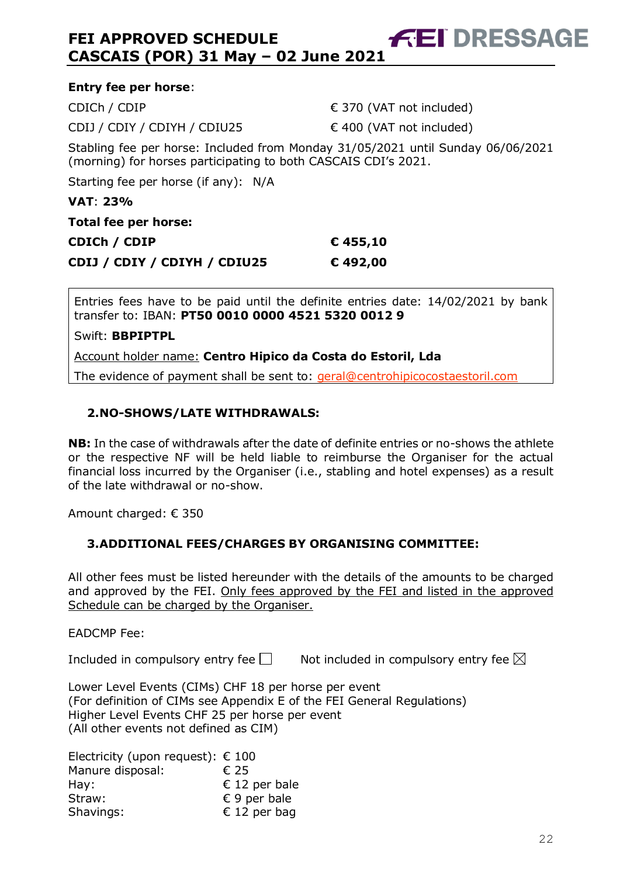| <b>Entry fee per horse:</b>                                                                                                                       |                                   |  |  |  |  |
|---------------------------------------------------------------------------------------------------------------------------------------------------|-----------------------------------|--|--|--|--|
| CDICh / CDIP                                                                                                                                      | $\epsilon$ 370 (VAT not included) |  |  |  |  |
| CDIJ / CDIY / CDIYH / CDIU25                                                                                                                      | $\in$ 400 (VAT not included)      |  |  |  |  |
| Stabling fee per horse: Included from Monday 31/05/2021 until Sunday 06/06/2021<br>(morning) for horses participating to both CASCAIS CDI's 2021. |                                   |  |  |  |  |
| Starting fee per horse (if any): N/A                                                                                                              |                                   |  |  |  |  |
| <b>VAT: 23%</b>                                                                                                                                   |                                   |  |  |  |  |
| Total fee per horse:                                                                                                                              |                                   |  |  |  |  |
| CDICh / CDIP                                                                                                                                      | € 455,10                          |  |  |  |  |
| CDIJ / CDIY / CDIYH / CDIU25                                                                                                                      | €492,00                           |  |  |  |  |
|                                                                                                                                                   |                                   |  |  |  |  |

Entries fees have to be paid until the definite entries date: 14/02/2021 by bank transfer to: IBAN: **PT50 0010 0000 4521 5320 0012 9**

Swift: **BBPIPTPL**

Account holder name: **Centro Hipico da Costa do Estoril, Lda**

The evidence of payment shall be sent to: [geral@centrohipicocostaestoril.com](mailto:geral@centrohipicocostaestoril.com)

### <span id="page-21-0"></span>**2.NO-SHOWS/LATE WITHDRAWALS:**

**NB:** In the case of withdrawals after the date of definite entries or no-shows the athlete or the respective NF will be held liable to reimburse the Organiser for the actual financial loss incurred by the Organiser (i.e., stabling and hotel expenses) as a result of the late withdrawal or no-show.

Amount charged: € 350

### <span id="page-21-1"></span>**3.ADDITIONAL FEES/CHARGES BY ORGANISING COMMITTEE:**

All other fees must be listed hereunder with the details of the amounts to be charged and approved by the FEI. Only fees approved by the FEI and listed in the approved Schedule can be charged by the Organiser.

EADCMP Fee:

Included in compulsory entry fee  $\Box$  Not included in compulsory entry fee  $\boxtimes$ 

Lower Level Events (CIMs) CHF 18 per horse per event (For definition of CIMs see Appendix E of the FEI General Regulations) Higher Level Events CHF 25 per horse per event (All other events not defined as CIM)

Electricity (upon request):  $\epsilon$  100 Manure disposal: € 25 Hay:  $E = 12$  per bale Straw: **€ 9 per bale** Shavings: € 12 per bag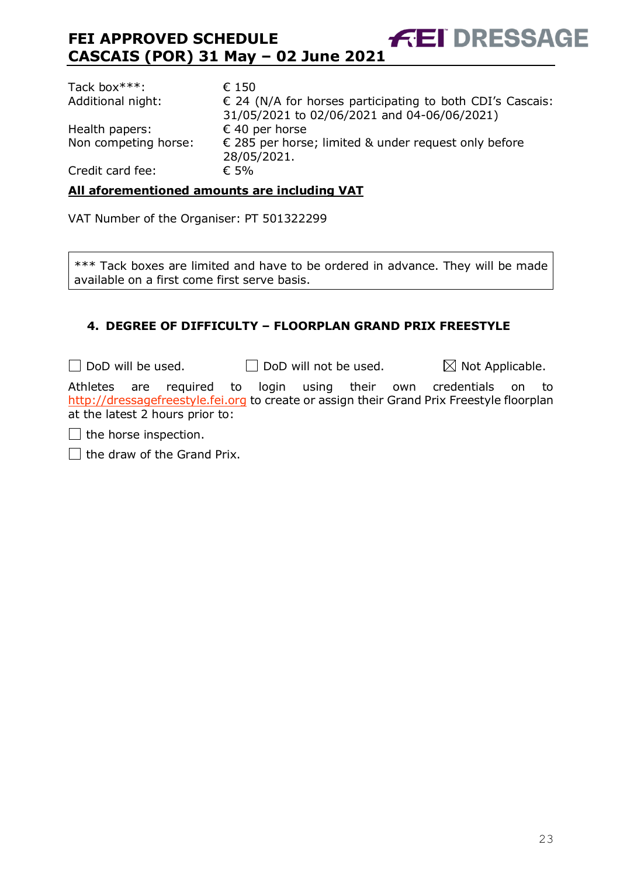| Tack box***:         | € 150                                                                        |
|----------------------|------------------------------------------------------------------------------|
| Additional night:    | $\epsilon$ 24 (N/A for horses participating to both CDI's Cascais:           |
|                      | 31/05/2021 to 02/06/2021 and 04-06/06/2021)                                  |
| Health papers:       | € 40 per horse                                                               |
| Non competing horse: | $\epsilon$ 285 per horse; limited & under request only before<br>28/05/2021. |
| Credit card fee:     | $\epsilon$ 5%                                                                |

### **All aforementioned amounts are including VAT**

VAT Number of the Organiser: PT 501322299

\*\*\* Tack boxes are limited and have to be ordered in advance. They will be made available on a first come first serve basis.

### <span id="page-22-0"></span>**4. DEGREE OF DIFFICULTY – FLOORPLAN GRAND PRIX FREESTYLE**

 $\Box$  DoD will be used.  $\Box$  DoD will not be used.  $\boxtimes$  Not Applicable.

Athletes are required to login using their own credentials on to [http://dressagefreestyle.fei.org](http://dressagefreestyle.fei.org/) to create or assign their Grand Prix Freestyle floorplan at the latest 2 hours prior to:

 $\Box$  the horse inspection.

 $\Box$  the draw of the Grand Prix.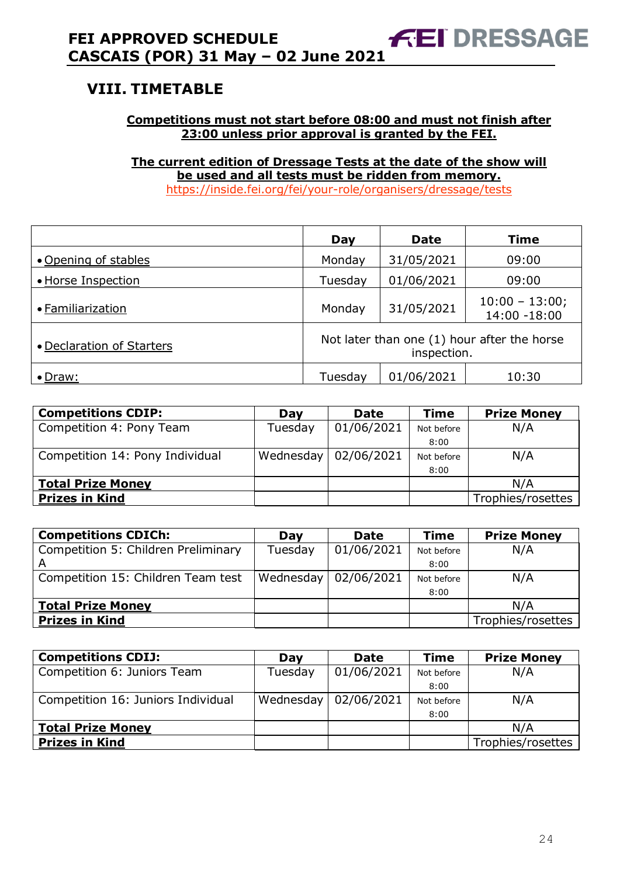# <span id="page-23-0"></span>**VIII. TIMETABLE**

### **Competitions must not start before 08:00 and must not finish after 23:00 unless prior approval is granted by the FEI.**

**The current edition of Dressage Tests at the date of the show will be used and all tests must be ridden from memory.** <https://inside.fei.org/fei/your-role/organisers/dressage/tests>

|                           | Day                                                        | <b>Date</b> | <b>Time</b>                      |
|---------------------------|------------------------------------------------------------|-------------|----------------------------------|
| • Opening of stables      | Monday                                                     | 31/05/2021  | 09:00                            |
| • Horse Inspection        | Tuesday                                                    | 01/06/2021  | 09:00                            |
| • Familiarization         | Monday                                                     | 31/05/2021  | $10:00 - 13:00;$<br>14:00 -18:00 |
| • Declaration of Starters | Not later than one (1) hour after the horse<br>inspection. |             |                                  |
| • Draw:                   | Tuesday                                                    | 01/06/2021  | 10:30                            |

| <b>Competitions CDIP:</b>       | Day       | Date       | <b>Time</b> | <b>Prize Money</b> |
|---------------------------------|-----------|------------|-------------|--------------------|
| Competition 4: Pony Team        | Tuesday   | 01/06/2021 | Not before  | N/A                |
|                                 |           |            | 8:00        |                    |
| Competition 14: Pony Individual | Wednesday | 02/06/2021 | Not before  | N/A                |
|                                 |           |            | 8:00        |                    |
| <b>Total Prize Money</b>        |           |            |             | N/A                |
| <b>Prizes in Kind</b>           |           |            |             | Trophies/rosettes  |

| <b>Competitions CDICh:</b>          | Day       | <b>Date</b> | <b>Time</b> | <b>Prize Money</b> |
|-------------------------------------|-----------|-------------|-------------|--------------------|
| Competition 5: Children Preliminary | Tuesday   | 01/06/2021  | Not before  | N/A                |
| A                                   |           |             | 8:00        |                    |
| Competition 15: Children Team test  | Wednesday | 02/06/2021  | Not before  | N/A                |
|                                     |           |             | 8:00        |                    |
| <b>Total Prize Money</b>            |           |             |             | N/A                |
| <b>Prizes in Kind</b>               |           |             |             | Trophies/rosettes  |

| <b>Competitions CDIJ:</b>          | Dav       | <b>Date</b> | <b>Time</b> | <b>Prize Money</b> |
|------------------------------------|-----------|-------------|-------------|--------------------|
| Competition 6: Juniors Team        | Tuesday   | 01/06/2021  | Not before  | N/A                |
|                                    |           |             | 8:00        |                    |
| Competition 16: Juniors Individual | Wednesday | 02/06/2021  | Not before  | N/A                |
|                                    |           |             | 8:00        |                    |
| <b>Total Prize Money</b>           |           |             |             | N/A                |
| <b>Prizes in Kind</b>              |           |             |             | Trophies/rosettes  |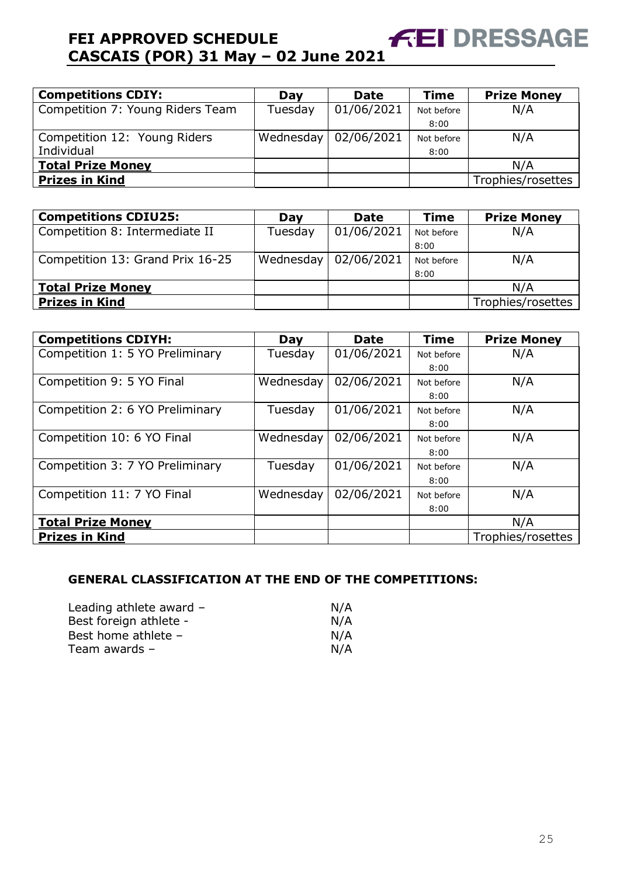| <b>Competitions CDIY:</b>        | Day       | <b>Date</b> | <b>Time</b> | <b>Prize Money</b> |
|----------------------------------|-----------|-------------|-------------|--------------------|
| Competition 7: Young Riders Team | Tuesday   | 01/06/2021  | Not before  | N/A                |
|                                  |           |             | 8:00        |                    |
| Competition 12: Young Riders     | Wednesday | 02/06/2021  | Not before  | N/A                |
| Individual                       |           |             | 8:00        |                    |
| <b>Total Prize Money</b>         |           |             |             | N/A                |
| <b>Prizes in Kind</b>            |           |             |             | Trophies/rosettes  |

| <b>Competitions CDIU25:</b>      | Day       | <b>Date</b> | <b>Time</b> | <b>Prize Money</b> |
|----------------------------------|-----------|-------------|-------------|--------------------|
| Competition 8: Intermediate II   | Tuesday   | 01/06/2021  | Not before  | N/A                |
|                                  |           |             | 8:00        |                    |
| Competition 13: Grand Prix 16-25 | Wednesday | 02/06/2021  | Not before  | N/A                |
|                                  |           |             | 8:00        |                    |
| <b>Total Prize Money</b>         |           |             |             | N/A                |
| <b>Prizes in Kind</b>            |           |             |             | Trophies/rosettes  |

| <b>Competitions CDIYH:</b>      | Day       | <b>Date</b> | <b>Time</b> | <b>Prize Money</b> |
|---------------------------------|-----------|-------------|-------------|--------------------|
| Competition 1: 5 YO Preliminary | Tuesday   | 01/06/2021  | Not before  | N/A                |
|                                 |           |             | 8:00        |                    |
| Competition 9: 5 YO Final       | Wednesday | 02/06/2021  | Not before  | N/A                |
|                                 |           |             | 8:00        |                    |
| Competition 2: 6 YO Preliminary | Tuesday   | 01/06/2021  | Not before  | N/A                |
|                                 |           |             | 8:00        |                    |
| Competition 10: 6 YO Final      | Wednesday | 02/06/2021  | Not before  | N/A                |
|                                 |           |             | 8:00        |                    |
| Competition 3: 7 YO Preliminary | Tuesday   | 01/06/2021  | Not before  | N/A                |
|                                 |           |             | 8:00        |                    |
| Competition 11: 7 YO Final      | Wednesday | 02/06/2021  | Not before  | N/A                |
|                                 |           |             | 8:00        |                    |
| <b>Total Prize Money</b>        |           |             |             | N/A                |
| <b>Prizes in Kind</b>           |           |             |             | Trophies/rosettes  |

### **GENERAL CLASSIFICATION AT THE END OF THE COMPETITIONS:**

| N/A |
|-----|
| N/A |
| N/A |
| N/A |
|     |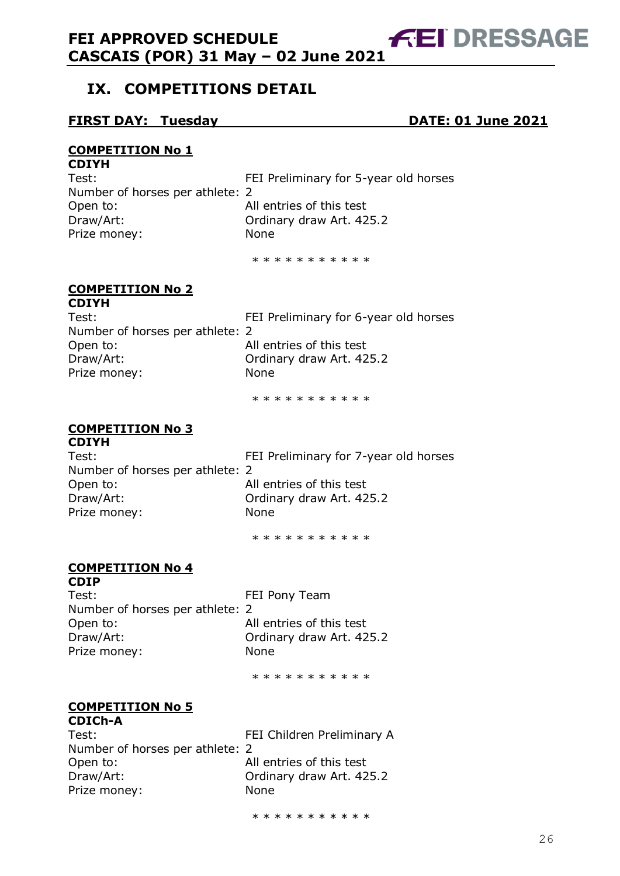# <span id="page-25-0"></span>**IX. COMPETITIONS DETAIL**

### **FIRST DAY: Tuesday DATE: 01 June 2021**

**FEI DRESSAGE** 

#### **COMPETITION No 1 CDIYH**

| ~~~~                            |                                       |
|---------------------------------|---------------------------------------|
| Test:                           | FEI Preliminary for 5-year old horses |
| Number of horses per athlete: 2 |                                       |
| Open to:                        | All entries of this test              |
| Draw/Art:                       | Ordinary draw Art. 425.2              |
| Prize money:                    | None                                  |
|                                 |                                       |

\* \* \* \* \* \* \* \* \* \*

#### **COMPETITION No 2 CDIYH**

| ~~~~                            |                                       |
|---------------------------------|---------------------------------------|
| Test:                           | FEI Preliminary for 6-year old horses |
| Number of horses per athlete: 2 |                                       |
| Open to:                        | All entries of this test              |
| Draw/Art:                       | Ordinary draw Art. 425.2              |
| Prize money:                    | <b>None</b>                           |
|                                 |                                       |

\* \* \* \* \* \* \* \* \* \*

### **COMPETITION No 3**

# **CDIYH** Number of horses per athlete: 2 Open to: All entries of this test Draw/Art: Ordinary draw Art. 425.2 Prize money: None

Test: FEI Preliminary for 7-year old horses

\* \* \* \* \* \* \* \* \* \*

# **COMPETITION No 4**

**CDIP** Test: Test: FEI Pony Team Number of horses per athlete: 2 Open to: All entries of this test Draw/Art: Ordinary draw Art. 425.2 Prize money: None

\* \* \* \* \* \* \* \* \* \*

# **COMPETITION No 5**

| <b>CDICh-A</b>                  |                            |
|---------------------------------|----------------------------|
| Test:                           | FEI Children Preliminary A |
| Number of horses per athlete: 2 |                            |
| Open to:                        | All entries of this test   |
| Draw/Art:                       | Ordinary draw Art. 425.2   |
| Prize money:                    | None                       |
|                                 |                            |

\* \* \* \* \* \* \* \* \* \*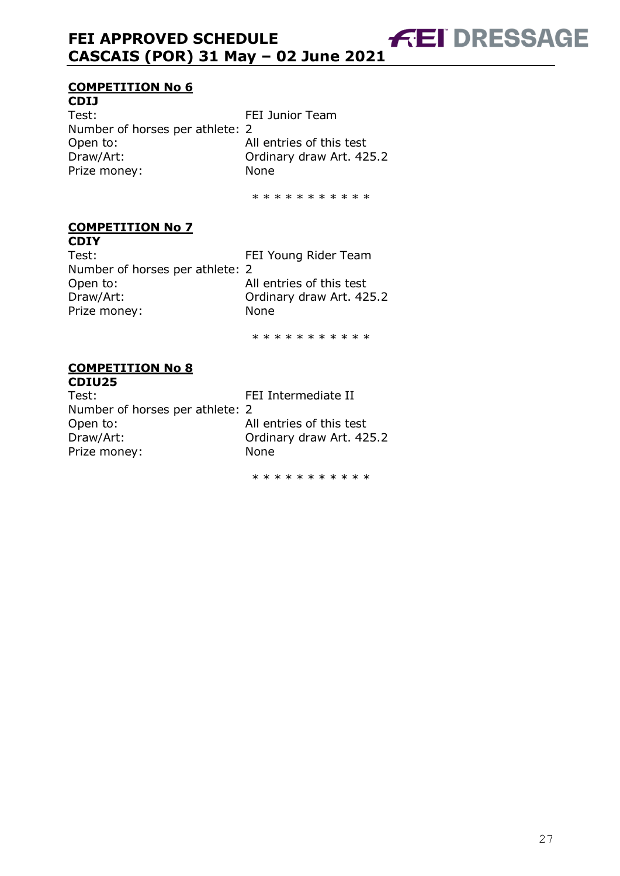### **COMPETITION No 6**

**CDIJ** Test: Test: FEI Junior Team Number of horses per athlete: 2 Open to: All entries of this test Draw/Art: Ordinary draw Art. 425.2 Prize money: None

\* \* \* \* \* \* \* \* \* \* \*

#### **COMPETITION No 7 CDIY**

Test: Test: FEI Young Rider Team Number of horses per athlete: 2 Open to: All entries of this test Draw/Art: Ordinary draw Art. 425.2 Prize money: None

\* \* \* \* \* \* \* \* \* \*

#### **COMPETITION No 8 CDIU25**

| Test:                           | FEI Intermediate II      |
|---------------------------------|--------------------------|
| Number of horses per athlete: 2 |                          |
| Open to:                        | All entries of this test |
| Draw/Art:                       | Ordinary draw Art. 425.2 |
| Prize money:                    | <b>None</b>              |
|                                 |                          |

\* \* \* \* \* \* \* \* \* \* \*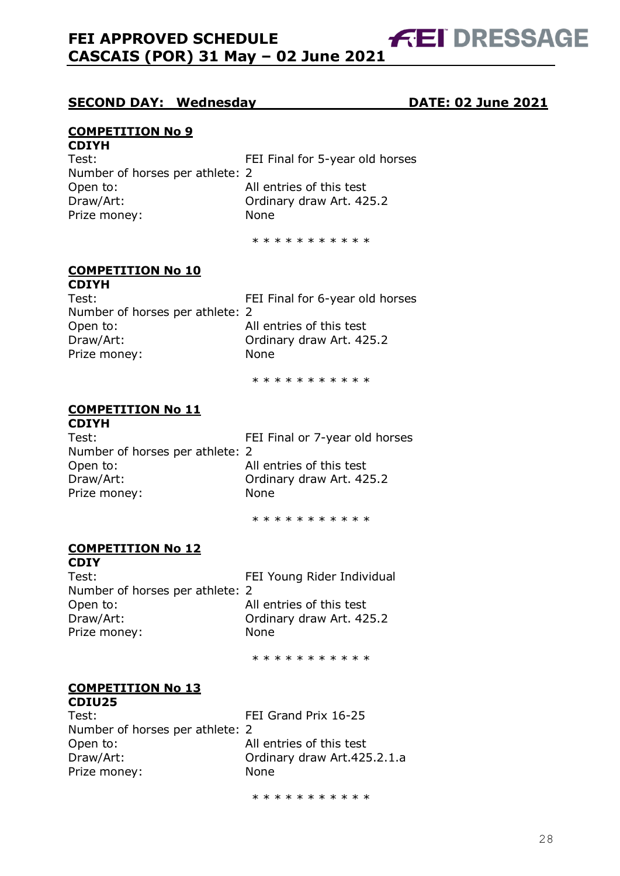### **SECOND DAY: Wednesday DATE: 02 June 2021**

### **COMPETITION No 9**

**CDIYH** Test: Test: FEI Final for 5-year old horses Number of horses per athlete: 2 Open to: All entries of this test Draw/Art: Ordinary draw Art. 425.2 Prize money: None

\* \* \* \* \* \* \* \* \* \*

#### **COMPETITION No 10 CDIYH**

| Test:                           | FEI Final for 6-year old horses |
|---------------------------------|---------------------------------|
| Number of horses per athlete: 2 |                                 |
| Open to:                        | All entries of this test        |
| Draw/Art:                       | Ordinary draw Art. 425.2        |
| Prize money:                    | None                            |
|                                 |                                 |

\* \* \* \* \* \* \* \* \* \*

### **COMPETITION No 11**

**CDIYH** Test: Test: FEI Final or 7-year old horses Number of horses per athlete: 2 Open to: All entries of this test Draw/Art: Ordinary draw Art. 425.2 Prize money: None

\* \* \* \* \* \* \* \* \* \*

### **COMPETITION No 12**

**CDIY** Test: FEI Young Rider Individual Number of horses per athlete: 2 Open to: All entries of this test Draw/Art: Ordinary draw Art. 425.2 Prize money: None

\* \* \* \* \* \* \* \* \* \*

#### **COMPETITION No 13 CDIU25**

Test: FEI Grand Prix 16-25 Number of horses per athlete: 2 Open to: All entries of this test Draw/Art: Ordinary draw Art.425.2.1.a Prize money: None

\* \* \* \* \* \* \* \* \* \*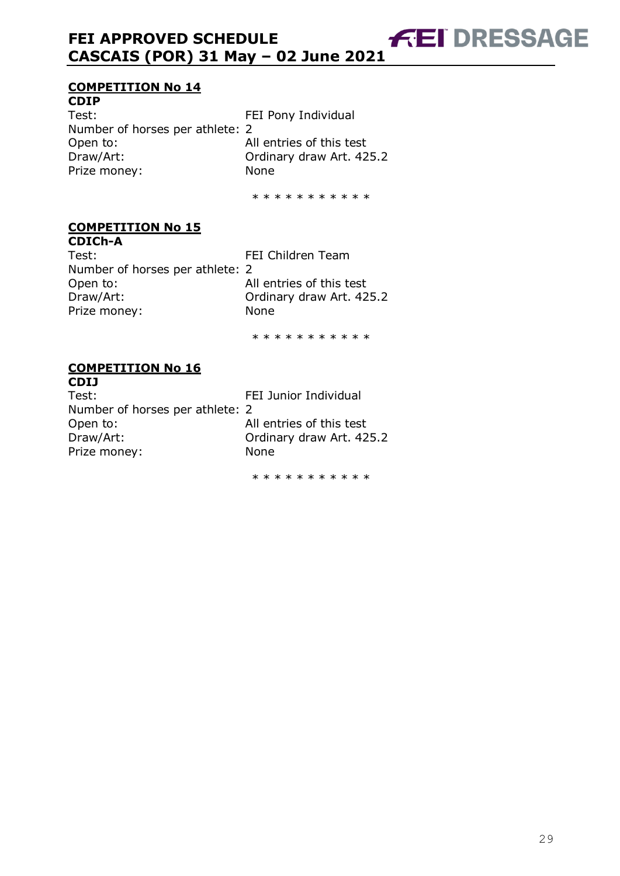# **COMPETITION No 14**

**CDIP** Test: Test: FEI Pony Individual Number of horses per athlete: 2 Open to: All entries of this test Draw/Art: Ordinary draw Art. 425.2 Prize money: None

\* \* \* \* \* \* \* \* \* \*

#### **COMPETITION No 15 CDICh-A**

Test: FEI Children Team Number of horses per athlete: 2 Open to: All entries of this test Draw/Art: Ordinary draw Art. 425.2 Prize money: None

\* \* \* \* \* \* \* \* \* \*

#### **COMPETITION No 16 CDIJ**

| Test:                           | FEI Junior Individual    |
|---------------------------------|--------------------------|
| Number of horses per athlete: 2 |                          |
| Open to:                        | All entries of this test |
| Draw/Art:                       | Ordinary draw Art. 425.2 |
| Prize money:                    | <b>None</b>              |
|                                 |                          |

\* \* \* \* \* \* \* \* \* \* \*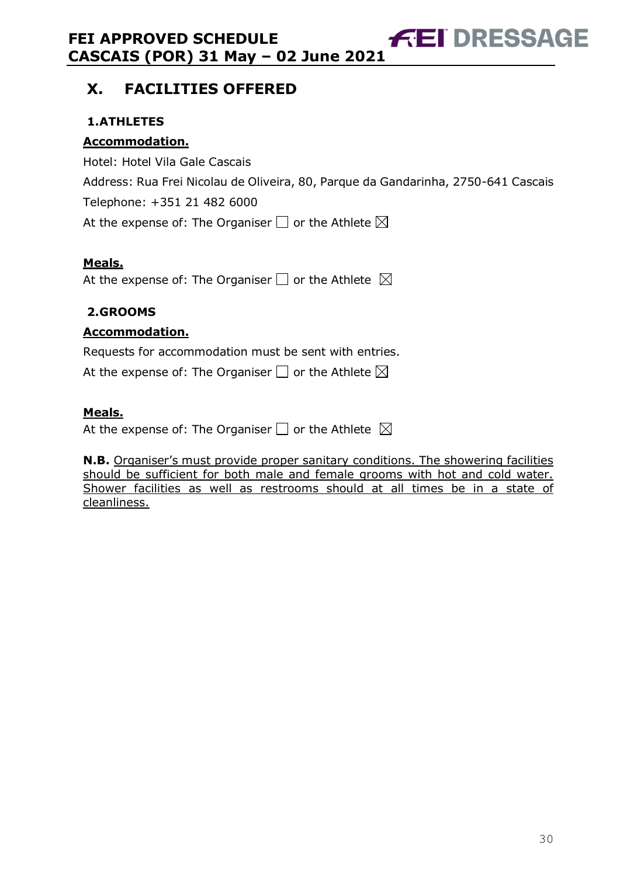# <span id="page-29-0"></span>**X. FACILITIES OFFERED**

# <span id="page-29-1"></span>**1.ATHLETES**

# **Accommodation.**

Hotel: Hotel Vila Gale Cascais Address: Rua Frei Nicolau de Oliveira, 80, Parque da Gandarinha, 2750-641 Cascais Telephone: +351 21 482 6000 At the expense of: The Organiser  $\Box$  or the Athlete  $\boxtimes$ 

# **Meals.**

At the expense of: The Organiser  $\Box$  or the Athlete  $\boxtimes$ 

### <span id="page-29-2"></span>**2.GROOMS**

### **Accommodation.**

Requests for accommodation must be sent with entries.

At the expense of: The Organiser  $\Box$  or the Athlete  $\boxtimes$ 

### **Meals.**

At the expense of: The Organiser  $\Box$  or the Athlete  $\boxtimes$ 

**N.B.** Organiser's must provide proper sanitary conditions. The showering facilities should be sufficient for both male and female grooms with hot and cold water. Shower facilities as well as restrooms should at all times be in a state of cleanliness.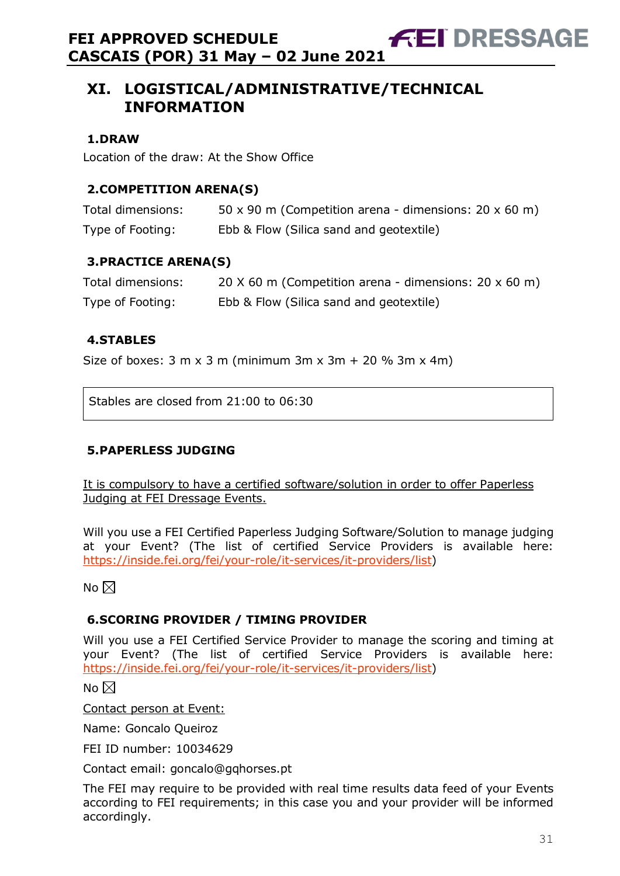# <span id="page-30-0"></span>**XI. LOGISTICAL/ADMINISTRATIVE/TECHNICAL INFORMATION**

### <span id="page-30-1"></span>**1.DRAW**

Location of the draw: At the Show Office

### <span id="page-30-2"></span>**2.COMPETITION ARENA(S)**

| Total dimensions: | 50 x 90 m (Competition arena - dimensions: $20 \times 60$ m) |
|-------------------|--------------------------------------------------------------|
| Type of Footing:  | Ebb & Flow (Silica sand and geotextile)                      |

**FEI DRESSAGE** 

### <span id="page-30-3"></span>**3.PRACTICE ARENA(S)**

| Total dimensions: | 20 $\times$ 60 m (Competition arena - dimensions: 20 $\times$ 60 m) |
|-------------------|---------------------------------------------------------------------|
| Type of Footing:  | Ebb & Flow (Silica sand and geotextile)                             |

### <span id="page-30-4"></span>**4.STABLES**

Size of boxes:  $3 \text{ m} \times 3 \text{ m}$  (minimum  $3 \text{ m} \times 3 \text{ m} + 20 \% 3 \text{ m} \times 4 \text{ m}$ )

Stables are closed from 21:00 to 06:30

### <span id="page-30-5"></span>**5.PAPERLESS JUDGING**

It is compulsory to have a certified software/solution in order to offer Paperless Judging at FEI Dressage Events.

Will you use a FEI Certified Paperless Judging Software/Solution to manage judging at your Event? (The list of certified Service Providers is available here: [https://inside.fei.org/fei/your-role/it-services/it-providers/list\)](https://inside.fei.org/fei/your-role/it-services/it-providers/list)

No  $\boxtimes$ 

### <span id="page-30-6"></span>**6.SCORING PROVIDER / TIMING PROVIDER**

Will you use a FEI Certified Service Provider to manage the scoring and timing at your Event? (The list of certified Service Providers is available here: [https://inside.fei.org/fei/your-role/it-services/it-providers/list\)](https://inside.fei.org/fei/your-role/it-services/it-providers/list)

No  $\boxtimes$ 

Contact person at Event:

Name: Goncalo Queiroz

FEI ID number: 10034629

Contact email: goncalo@gqhorses.pt

The FEI may require to be provided with real time results data feed of your Events according to FEI requirements; in this case you and your provider will be informed accordingly.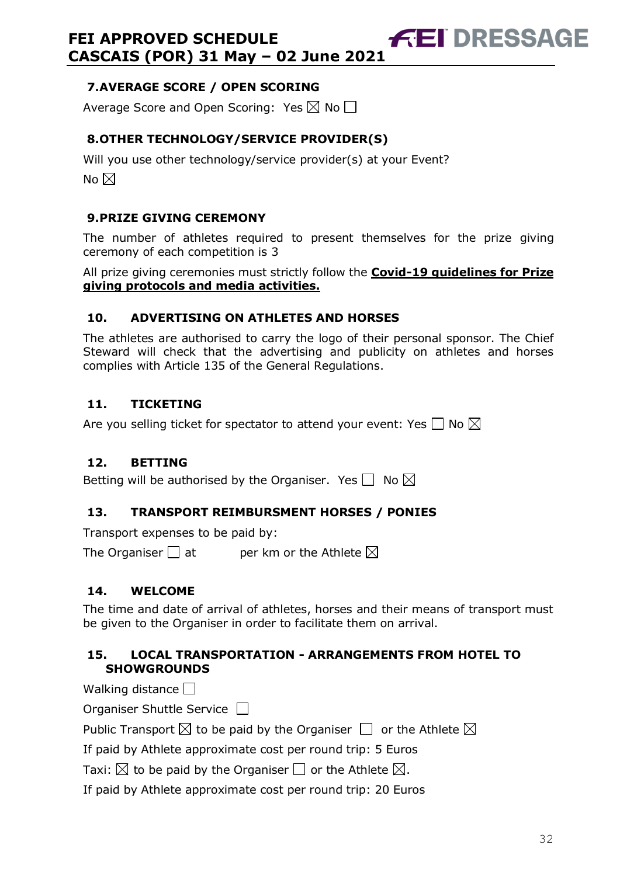### <span id="page-31-0"></span>**7.AVERAGE SCORE / OPEN SCORING**

Average Score and Open Scoring: Yes  $\boxtimes$  No  $\Box$ 

# <span id="page-31-1"></span>**8.OTHER TECHNOLOGY/SERVICE PROVIDER(S)**

Will you use other technology/service provider(s) at your Event? No  $\boxtimes$ 

### <span id="page-31-2"></span>**9.PRIZE GIVING CEREMONY**

The number of athletes required to present themselves for the prize giving ceremony of each competition is 3

All prize giving ceremonies must strictly follow the **Covid-19 guidelines for Prize giving protocols and media activities.**

### <span id="page-31-3"></span>**10. ADVERTISING ON ATHLETES AND HORSES**

The athletes are authorised to carry the logo of their personal sponsor. The Chief Steward will check that the advertising and publicity on athletes and horses complies with Article 135 of the General Regulations.

### <span id="page-31-4"></span>**11. TICKETING**

Are you selling ticket for spectator to attend your event: Yes  $\Box$  No  $\boxtimes$ 

### <span id="page-31-5"></span>**12. BETTING**

Betting will be authorised by the Organiser. Yes  $\Box$  No  $\boxtimes$ 

### <span id="page-31-6"></span>**13. TRANSPORT REIMBURSMENT HORSES / PONIES**

Transport expenses to be paid by:

The Organiser  $\Box$  at entries ber km or the Athlete  $\boxtimes$ 

# <span id="page-31-7"></span>**14. WELCOME**

The time and date of arrival of athletes, horses and their means of transport must be given to the Organiser in order to facilitate them on arrival.

### <span id="page-31-8"></span>**15. LOCAL TRANSPORTATION - ARRANGEMENTS FROM HOTEL TO SHOWGROUNDS**

Walking distance  $\Box$ 

Organiser Shuttle Service

Public Transport  $\boxtimes$  to be paid by the Organiser  $\Box$  or the Athlete  $\boxtimes$ 

If paid by Athlete approximate cost per round trip: 5 Euros

Taxi:  $\boxtimes$  to be paid by the Organiser  $\Box$  or the Athlete  $\boxtimes$ .

If paid by Athlete approximate cost per round trip: 20 Euros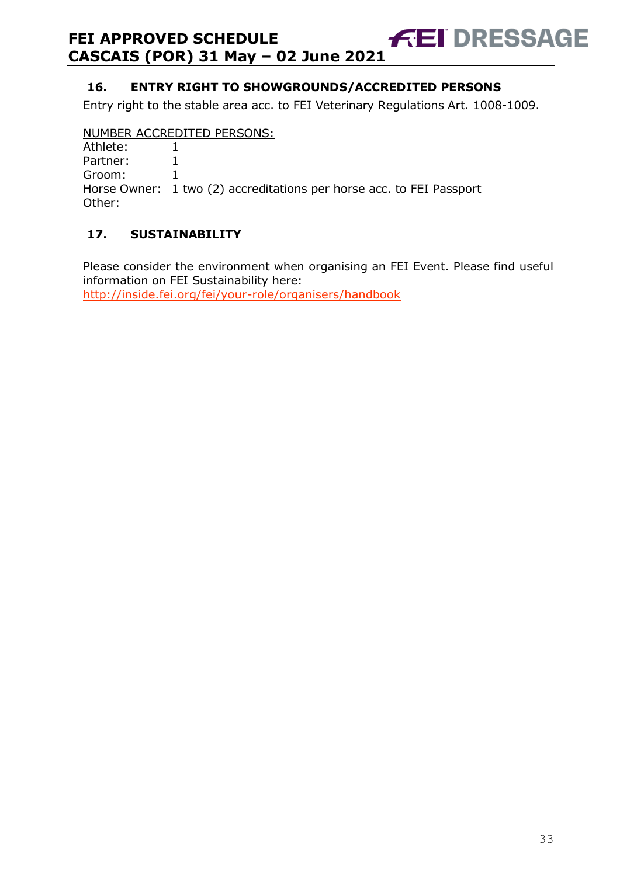### <span id="page-32-0"></span>**16. ENTRY RIGHT TO SHOWGROUNDS/ACCREDITED PERSONS**

Entry right to the stable area acc. to FEI Veterinary Regulations Art. 1008-1009.

### NUMBER ACCREDITED PERSONS:

| Athlete: |  |
|----------|--|
| Partner: |  |
|          |  |

Groom: 1

Horse Owner: 1 two (2) accreditations per horse acc. to FEI Passport Other:

### <span id="page-32-1"></span>**17. SUSTAINABILITY**

Please consider the environment when organising an FEI Event. Please find useful information on FEI Sustainability here:

<http://inside.fei.org/fei/your-role/organisers/handbook>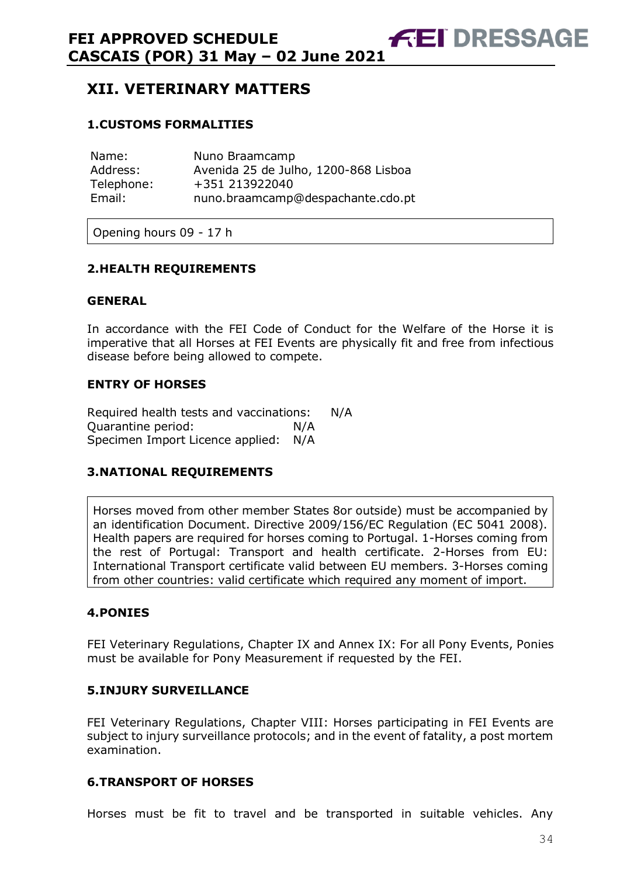<span id="page-33-0"></span>**XII. VETERINARY MATTERS** 

### <span id="page-33-1"></span>**1.CUSTOMS FORMALITIES**

| Name:      | Nuno Braamcamp                       |
|------------|--------------------------------------|
| Address:   | Avenida 25 de Julho, 1200-868 Lisboa |
| Telephone: | +351 213922040                       |
| Email:     | nuno.braamcamp@despachante.cdo.pt    |

Opening hours 09 - 17 h

### <span id="page-33-2"></span>**2.HEALTH REQUIREMENTS**

### **GENERAL**

In accordance with the FEI Code of Conduct for the Welfare of the Horse it is imperative that all Horses at FEI Events are physically fit and free from infectious disease before being allowed to compete.

### **ENTRY OF HORSES**

Required health tests and vaccinations: N/A Quarantine period: N/A Specimen Import Licence applied: N/A

### <span id="page-33-3"></span>**3.NATIONAL REQUIREMENTS**

Horses moved from other member States 8or outside) must be accompanied by an identification Document. Directive 2009/156/EC Regulation (EC 5041 2008). Health papers are required for horses coming to Portugal. 1-Horses coming from the rest of Portugal: Transport and health certificate. 2-Horses from EU: International Transport certificate valid between EU members. 3-Horses coming from other countries: valid certificate which required any moment of import.

### <span id="page-33-4"></span>**4.PONIES**

FEI Veterinary Regulations, Chapter IX and Annex IX: For all Pony Events, Ponies must be available for Pony Measurement if requested by the FEI.

### <span id="page-33-5"></span>**5.INJURY SURVEILLANCE**

FEI Veterinary Regulations, Chapter VIII: Horses participating in FEI Events are subject to injury surveillance protocols; and in the event of fatality, a post mortem examination.

### <span id="page-33-6"></span>**6.TRANSPORT OF HORSES**

Horses must be fit to travel and be transported in suitable vehicles. Any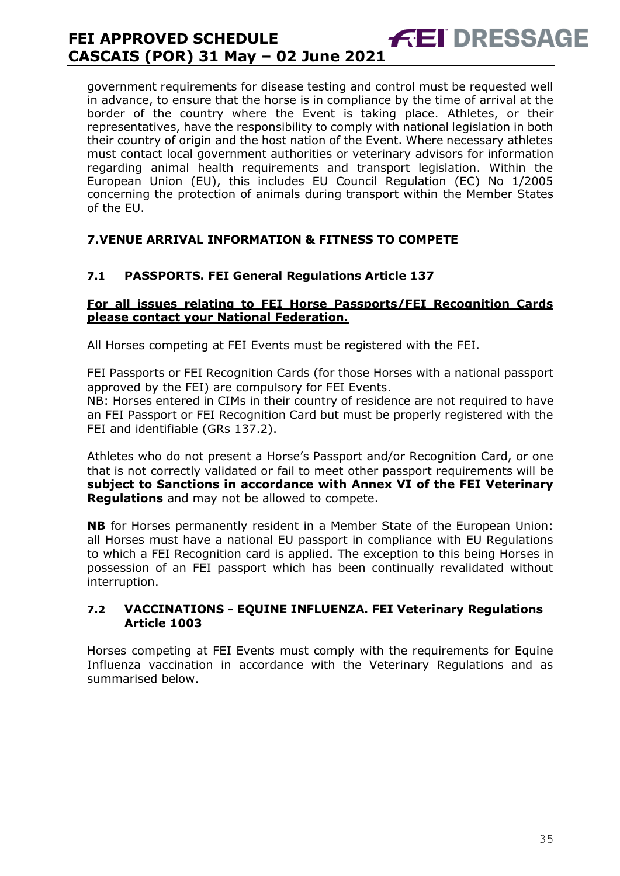government requirements for disease testing and control must be requested well in advance, to ensure that the horse is in compliance by the time of arrival at the border of the country where the Event is taking place. Athletes, or their representatives, have the responsibility to comply with national legislation in both their country of origin and the host nation of the Event. Where necessary athletes must contact local government authorities or veterinary advisors for information regarding animal health requirements and transport legislation. Within the European Union (EU), this includes EU Council Regulation (EC) No 1/2005 concerning the protection of animals during transport within the Member States of the EU.

### <span id="page-34-0"></span>**7.VENUE ARRIVAL INFORMATION & FITNESS TO COMPETE**

### **7.1 PASSPORTS. FEI General Regulations Article 137**

### **For all issues relating to FEI Horse Passports/FEI Recognition Cards please contact your National Federation.**

All Horses competing at FEI Events must be registered with the FEI.

FEI Passports or FEI Recognition Cards (for those Horses with a national passport approved by the FEI) are compulsory for FEI Events.

NB: Horses entered in CIMs in their country of residence are not required to have an FEI Passport or FEI Recognition Card but must be properly registered with the FEI and identifiable (GRs 137.2).

Athletes who do not present a Horse's Passport and/or Recognition Card, or one that is not correctly validated or fail to meet other passport requirements will be **subject to Sanctions in accordance with Annex VI of the FEI Veterinary Regulations** and may not be allowed to compete.

**NB** for Horses permanently resident in a Member State of the European Union: all Horses must have a national EU passport in compliance with EU Regulations to which a FEI Recognition card is applied. The exception to this being Horses in possession of an FEI passport which has been continually revalidated without interruption.

### **7.2 VACCINATIONS - EQUINE INFLUENZA. FEI Veterinary Regulations Article 1003**

Horses competing at FEI Events must comply with the requirements for Equine Influenza vaccination in accordance with the Veterinary Regulations and as summarised below.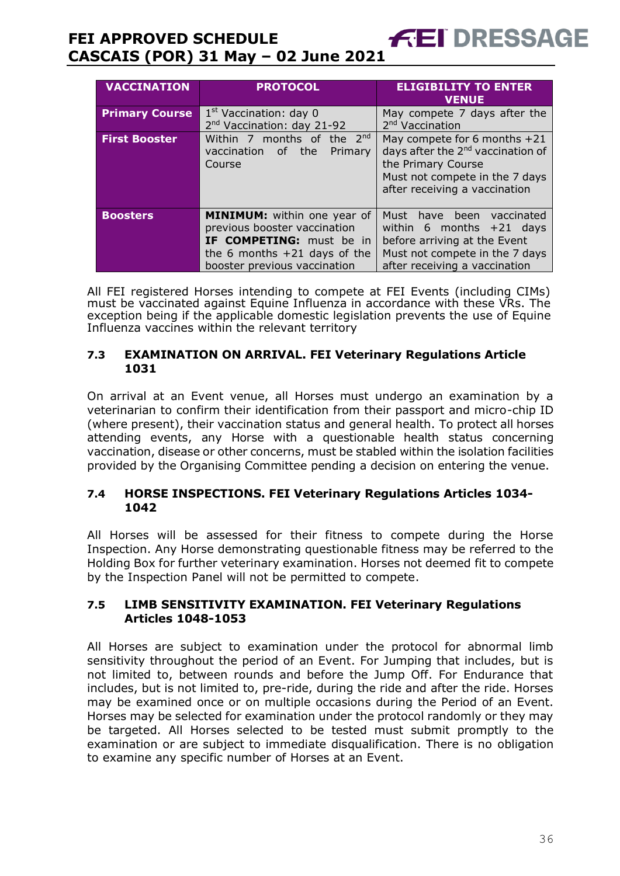| <b>VACCINATION</b>    | <b>PROTOCOL</b>                                                                                                                                                  | <b>ELIGIBILITY TO ENTER</b><br><b>VENUE</b>                                                                                                                              |  |
|-----------------------|------------------------------------------------------------------------------------------------------------------------------------------------------------------|--------------------------------------------------------------------------------------------------------------------------------------------------------------------------|--|
| <b>Primary Course</b> | $1st$ Vaccination: day 0<br>2 <sup>nd</sup> Vaccination: day 21-92                                                                                               | May compete 7 days after the<br>2 <sup>nd</sup> Vaccination                                                                                                              |  |
| <b>First Booster</b>  | Within 7 months of the $2^{nd}$<br>the<br>vaccination of<br>Primary<br>Course                                                                                    | May compete for 6 months $+21$<br>days after the 2 <sup>nd</sup> vaccination of<br>the Primary Course<br>Must not compete in the 7 days<br>after receiving a vaccination |  |
| <b>Boosters</b>       | <b>MINIMUM:</b> within one year of<br>previous booster vaccination<br>IF COMPETING: must be in<br>the 6 months $+21$ days of the<br>booster previous vaccination | Must have been<br>vaccinated<br>within 6 months $+21$ days<br>before arriving at the Event<br>Must not compete in the 7 days<br>after receiving a vaccination            |  |

All FEI registered Horses intending to compete at FEI Events (including CIMs) must be vaccinated against Equine Influenza in accordance with these VRs. The exception being if the applicable domestic legislation prevents the use of Equine Influenza vaccines within the relevant territory

### **7.3 EXAMINATION ON ARRIVAL. FEI Veterinary Regulations Article 1031**

On arrival at an Event venue, all Horses must undergo an examination by a veterinarian to confirm their identification from their passport and micro-chip ID (where present), their vaccination status and general health. To protect all horses attending events, any Horse with a questionable health status concerning vaccination, disease or other concerns, must be stabled within the isolation facilities provided by the Organising Committee pending a decision on entering the venue.

### **7.4 HORSE INSPECTIONS. FEI Veterinary Regulations Articles 1034- 1042**

All Horses will be assessed for their fitness to compete during the Horse Inspection. Any Horse demonstrating questionable fitness may be referred to the Holding Box for further veterinary examination. Horses not deemed fit to compete by the Inspection Panel will not be permitted to compete.

### **7.5 LIMB SENSITIVITY EXAMINATION. FEI Veterinary Regulations Articles 1048-1053**

All Horses are subject to examination under the protocol for abnormal limb sensitivity throughout the period of an Event. For Jumping that includes, but is not limited to, between rounds and before the Jump Off. For Endurance that includes, but is not limited to, pre-ride, during the ride and after the ride. Horses may be examined once or on multiple occasions during the Period of an Event. Horses may be selected for examination under the protocol randomly or they may be targeted. All Horses selected to be tested must submit promptly to the examination or are subject to immediate disqualification. There is no obligation to examine any specific number of Horses at an Event.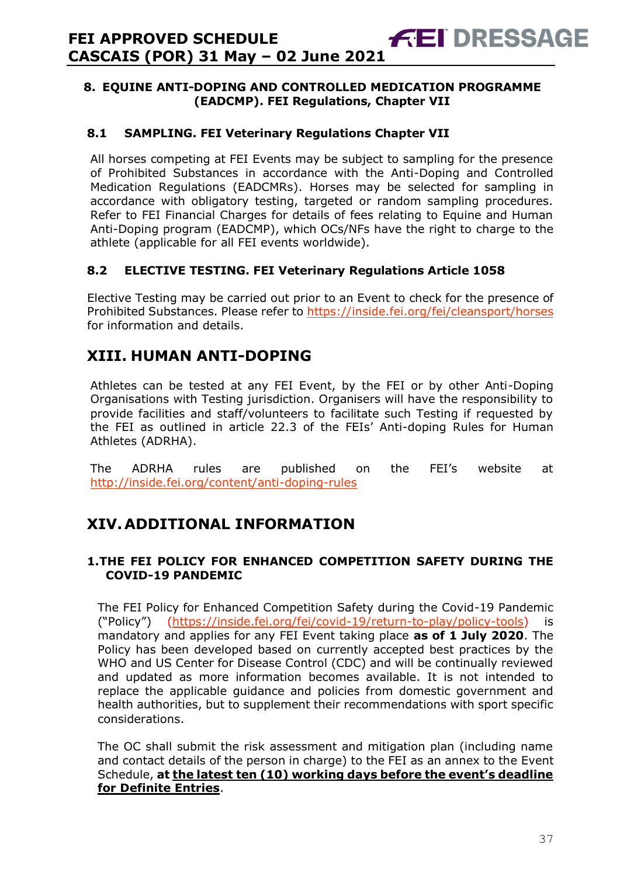### <span id="page-36-0"></span>**8. EQUINE ANTI-DOPING AND CONTROLLED MEDICATION PROGRAMME (EADCMP). FEI Regulations, Chapter VII**

### **8.1 SAMPLING. FEI Veterinary Regulations Chapter VII**

All horses competing at FEI Events may be subject to sampling for the presence of Prohibited Substances in accordance with the Anti-Doping and Controlled Medication Regulations (EADCMRs). Horses may be selected for sampling in accordance with obligatory testing, targeted or random sampling procedures. Refer to FEI Financial Charges for details of fees relating to Equine and Human Anti-Doping program (EADCMP), which OCs/NFs have the right to charge to the athlete (applicable for all FEI events worldwide).

### **8.2 ELECTIVE TESTING. FEI Veterinary Regulations Article 1058**

Elective Testing may be carried out prior to an Event to check for the presence of Prohibited Substances. Please refer to https://inside.fei.org/fei/cleansport/horses for information and details.

# <span id="page-36-1"></span>**XIII. HUMAN ANTI-DOPING**

Athletes can be tested at any FEI Event, by the FEI or by other Anti-Doping Organisations with Testing jurisdiction. Organisers will have the responsibility to provide facilities and staff/volunteers to facilitate such Testing if requested by the FEI as outlined in article 22.3 of the FEIs' Anti-doping Rules for Human Athletes (ADRHA).

The ADRHA rules are published on the FEI's website at <http://inside.fei.org/content/anti-doping-rules>

# <span id="page-36-2"></span>**XIV.ADDITIONAL INFORMATION**

### <span id="page-36-3"></span>**1.THE FEI POLICY FOR ENHANCED COMPETITION SAFETY DURING THE COVID-19 PANDEMIC**

The FEI Policy for Enhanced Competition Safety during the Covid-19 Pandemic ("Policy") [\(https://inside.fei.org/fei/covid-19/return-to-play/policy-tools\)](https://inside.fei.org/fei/covid-19/return-to-play/policy-tools) is mandatory and applies for any FEI Event taking place **as of 1 July 2020**. The Policy has been developed based on currently accepted best practices by the WHO and US Center for Disease Control (CDC) and will be continually reviewed and updated as more information becomes available. It is not intended to replace the applicable guidance and policies from domestic government and health authorities, but to supplement their recommendations with sport specific considerations.

The OC shall submit the risk assessment and mitigation plan (including name and contact details of the person in charge) to the FEI as an annex to the Event Schedule, **at the latest ten (10) working days before the event's deadline for Definite Entries**.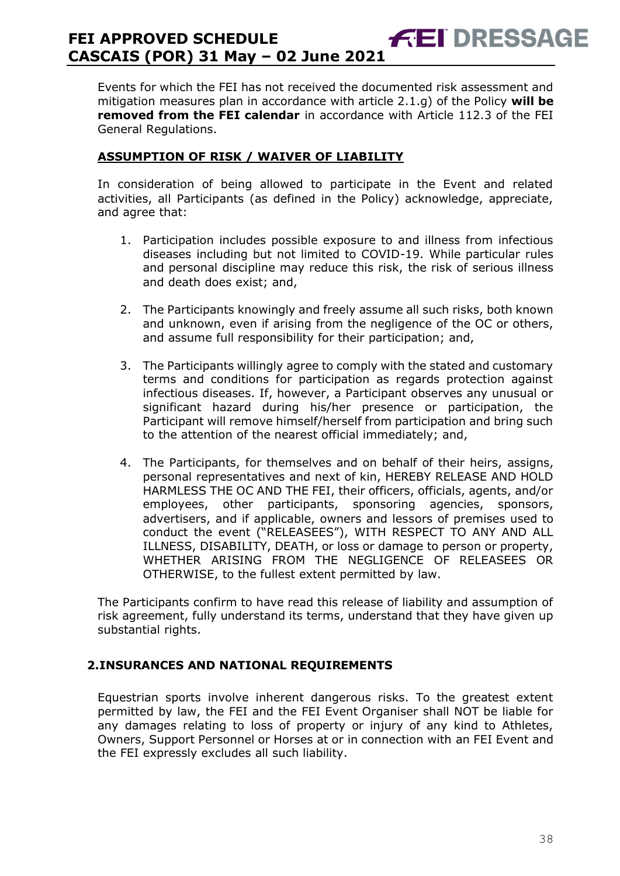Events for which the FEI has not received the documented risk assessment and mitigation measures plan in accordance with article 2.1.g) of the Policy **will be removed from the FEI calendar** in accordance with Article 112.3 of the FEI General Regulations.

### **ASSUMPTION OF RISK / WAIVER OF LIABILITY**

In consideration of being allowed to participate in the Event and related activities, all Participants (as defined in the Policy) acknowledge, appreciate, and agree that:

- 1. Participation includes possible exposure to and illness from infectious diseases including but not limited to COVID-19. While particular rules and personal discipline may reduce this risk, the risk of serious illness and death does exist; and,
- 2. The Participants knowingly and freely assume all such risks, both known and unknown, even if arising from the negligence of the OC or others, and assume full responsibility for their participation; and,
- 3. The Participants willingly agree to comply with the stated and customary terms and conditions for participation as regards protection against infectious diseases. If, however, a Participant observes any unusual or significant hazard during his/her presence or participation, the Participant will remove himself/herself from participation and bring such to the attention of the nearest official immediately; and,
- 4. The Participants, for themselves and on behalf of their heirs, assigns, personal representatives and next of kin, HEREBY RELEASE AND HOLD HARMLESS THE OC AND THE FEI, their officers, officials, agents, and/or employees, other participants, sponsoring agencies, sponsors, advertisers, and if applicable, owners and lessors of premises used to conduct the event ("RELEASEES"), WITH RESPECT TO ANY AND ALL ILLNESS, DISABILITY, DEATH, or loss or damage to person or property, WHETHER ARISING FROM THE NEGLIGENCE OF RELEASEES OR OTHERWISE, to the fullest extent permitted by law.

The Participants confirm to have read this release of liability and assumption of risk agreement, fully understand its terms, understand that they have given up substantial rights.

### <span id="page-37-0"></span>**2.INSURANCES AND NATIONAL REQUIREMENTS**

Equestrian sports involve inherent dangerous risks. To the greatest extent permitted by law, the FEI and the FEI Event Organiser shall NOT be liable for any damages relating to loss of property or injury of any kind to Athletes, Owners, Support Personnel or Horses at or in connection with an FEI Event and the FEI expressly excludes all such liability.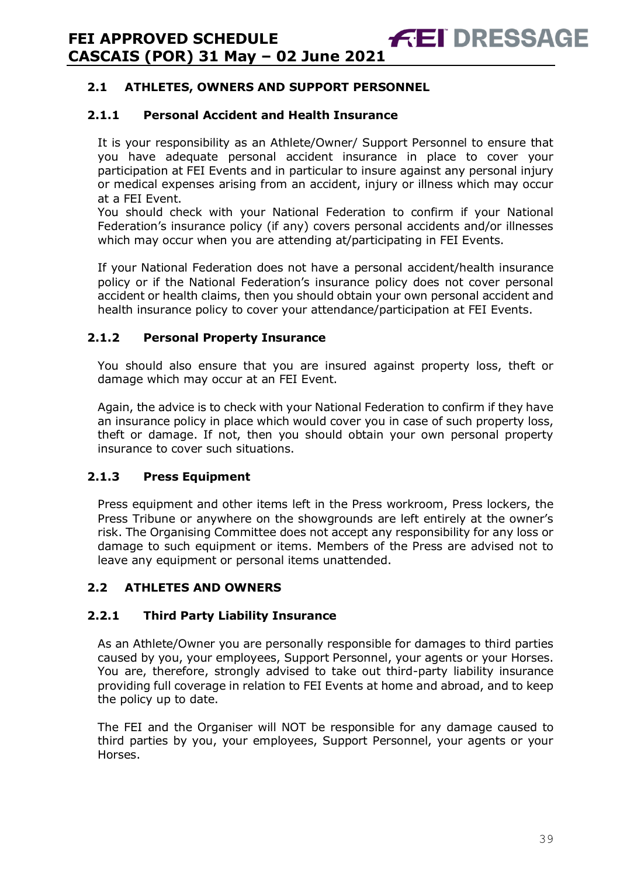# **2.1 ATHLETES, OWNERS AND SUPPORT PERSONNEL**

### **2.1.1 Personal Accident and Health Insurance**

It is your responsibility as an Athlete/Owner/ Support Personnel to ensure that you have adequate personal accident insurance in place to cover your participation at FEI Events and in particular to insure against any personal injury or medical expenses arising from an accident, injury or illness which may occur at a FEI Event.

You should check with your National Federation to confirm if your National Federation's insurance policy (if any) covers personal accidents and/or illnesses which may occur when you are attending at/participating in FEI Events.

If your National Federation does not have a personal accident/health insurance policy or if the National Federation's insurance policy does not cover personal accident or health claims, then you should obtain your own personal accident and health insurance policy to cover your attendance/participation at FEI Events.

### **2.1.2 Personal Property Insurance**

You should also ensure that you are insured against property loss, theft or damage which may occur at an FEI Event.

Again, the advice is to check with your National Federation to confirm if they have an insurance policy in place which would cover you in case of such property loss, theft or damage. If not, then you should obtain your own personal property insurance to cover such situations.

### **2.1.3 Press Equipment**

Press equipment and other items left in the Press workroom, Press lockers, the Press Tribune or anywhere on the showgrounds are left entirely at the owner's risk. The Organising Committee does not accept any responsibility for any loss or damage to such equipment or items. Members of the Press are advised not to leave any equipment or personal items unattended.

### **2.2 ATHLETES AND OWNERS**

### **2.2.1 Third Party Liability Insurance**

As an Athlete/Owner you are personally responsible for damages to third parties caused by you, your employees, Support Personnel, your agents or your Horses. You are, therefore, strongly advised to take out third-party liability insurance providing full coverage in relation to FEI Events at home and abroad, and to keep the policy up to date.

The FEI and the Organiser will NOT be responsible for any damage caused to third parties by you, your employees, Support Personnel, your agents or your Horses.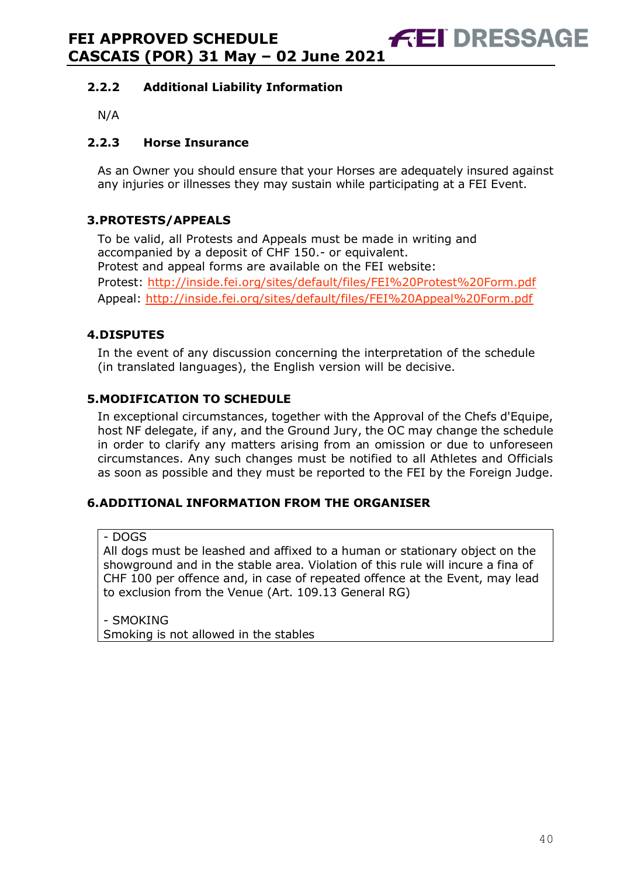### **2.2.2 Additional Liability Information**

N/A

### **2.2.3 Horse Insurance**

As an Owner you should ensure that your Horses are adequately insured against any injuries or illnesses they may sustain while participating at a FEI Event.

### <span id="page-39-0"></span>**3.PROTESTS/APPEALS**

To be valid, all Protests and Appeals must be made in writing and accompanied by a deposit of CHF 150.- or equivalent. Protest and appeal forms are available on the FEI website: Protest:<http://inside.fei.org/sites/default/files/FEI%20Protest%20Form.pdf> Appeal:<http://inside.fei.org/sites/default/files/FEI%20Appeal%20Form.pdf>

### <span id="page-39-1"></span>**4.DISPUTES**

In the event of any discussion concerning the interpretation of the schedule (in translated languages), the English version will be decisive.

### <span id="page-39-2"></span>**5.MODIFICATION TO SCHEDULE**

In exceptional circumstances, together with the Approval of the Chefs d'Equipe, host NF delegate, if any, and the Ground Jury, the OC may change the schedule in order to clarify any matters arising from an omission or due to unforeseen circumstances. Any such changes must be notified to all Athletes and Officials as soon as possible and they must be reported to the FEI by the Foreign Judge.

### <span id="page-39-3"></span>**6.ADDITIONAL INFORMATION FROM THE ORGANISER**

- DOGS

All dogs must be leashed and affixed to a human or stationary object on the showground and in the stable area. Violation of this rule will incure a fina of CHF 100 per offence and, in case of repeated offence at the Event, may lead to exclusion from the Venue (Art. 109.13 General RG)

- SMOKING Smoking is not allowed in the stables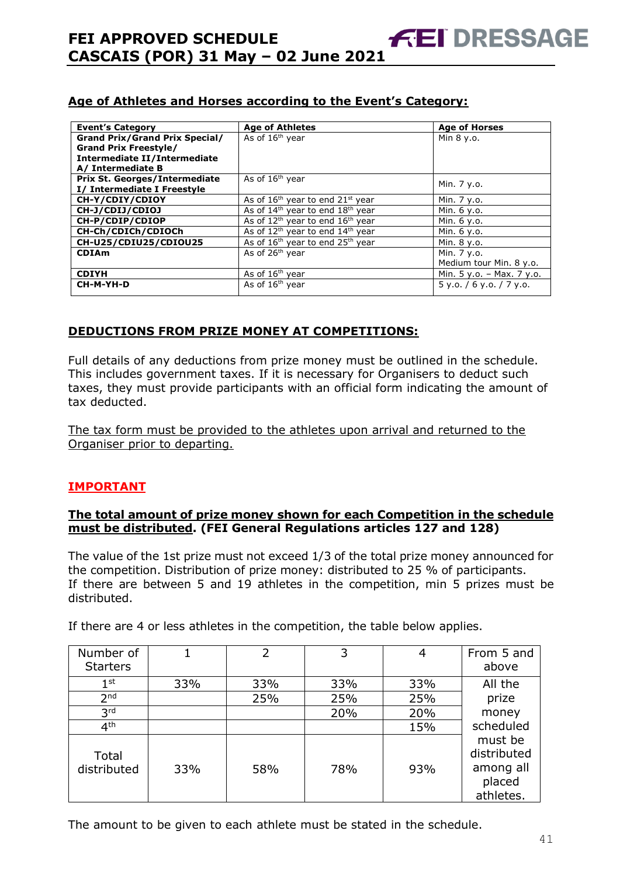| <b>Event's Category</b>               | <b>Age of Athletes</b>                     | <b>Age of Horses</b>        |
|---------------------------------------|--------------------------------------------|-----------------------------|
| <b>Grand Prix/Grand Prix Special/</b> | As of 16 <sup>th</sup> year                | Min 8 y.o.                  |
| <b>Grand Prix Freestyle/</b>          |                                            |                             |
| Intermediate II/Intermediate          |                                            |                             |
| A/ Intermediate B                     |                                            |                             |
| Prix St. Georges/Intermediate         | As of 16 <sup>th</sup> year                | Min. 7 y.o.                 |
| I/ Intermediate I Freestyle           |                                            |                             |
| CH-Y/CDIY/CDIOY                       | As of $16th$ year to end $21st$ year       | Min. 7 y.o.                 |
| CH-J/CDIJ/CDIOJ                       | As of $14th$ year to end $18th$ year       | Min. 6 y.o.                 |
| CH-P/CDIP/CDIOP                       | As of $12^{th}$ year to end $16^{th}$ year | Min. 6 y.o.                 |
| CH-Ch/CDICh/CDIOCh                    | As of $12^{th}$ year to end $14^{th}$ year | Min. 6 y.o.                 |
| CH-U25/CDIU25/CDIOU25                 | As of $16th$ year to end $25th$ year       | Min. 8 y.o.                 |
| <b>CDIAm</b>                          | As of 26 <sup>th</sup> year                | Min. 7 y.o.                 |
|                                       |                                            | Medium tour Min. 8 y.o.     |
| <b>CDIYH</b>                          | As of $16th$ year                          | Min. $5 y.o. - Max. 7 y.o.$ |
| CH-M-YH-D                             | As of $16th$ year                          | $5$ y.o. / 6 y.o. / 7 y.o.  |
|                                       |                                            |                             |

**FEI DRESSAGE** 

### **DEDUCTIONS FROM PRIZE MONEY AT COMPETITIONS:**

Full details of any deductions from prize money must be outlined in the schedule. This includes government taxes. If it is necessary for Organisers to deduct such taxes, they must provide participants with an official form indicating the amount of tax deducted.

The tax form must be provided to the athletes upon arrival and returned to the Organiser prior to departing.

### **IMPORTANT**

### **The total amount of prize money shown for each Competition in the schedule must be distributed. (FEI General Regulations articles 127 and 128)**

The value of the 1st prize must not exceed 1/3 of the total prize money announced for the competition. Distribution of prize money: distributed to 25 % of participants. If there are between 5 and 19 athletes in the competition, min 5 prizes must be distributed.

| Number of<br><b>Starters</b> |     | $\overline{2}$ | 3   | 4   | From 5 and<br>above                                        |
|------------------------------|-----|----------------|-----|-----|------------------------------------------------------------|
|                              |     |                |     |     |                                                            |
| 1 <sup>st</sup>              | 33% | 33%            | 33% | 33% | All the                                                    |
| 2 <sub>nd</sub>              |     | 25%            | 25% | 25% | prize                                                      |
| 3 <sup>rd</sup>              |     |                | 20% | 20% | money                                                      |
| 4 <sup>th</sup>              |     |                |     | 15% | scheduled                                                  |
| Total<br>distributed         | 33% | 58%            | 78% | 93% | must be<br>distributed<br>among all<br>placed<br>athletes. |

If there are 4 or less athletes in the competition, the table below applies.

The amount to be given to each athlete must be stated in the schedule.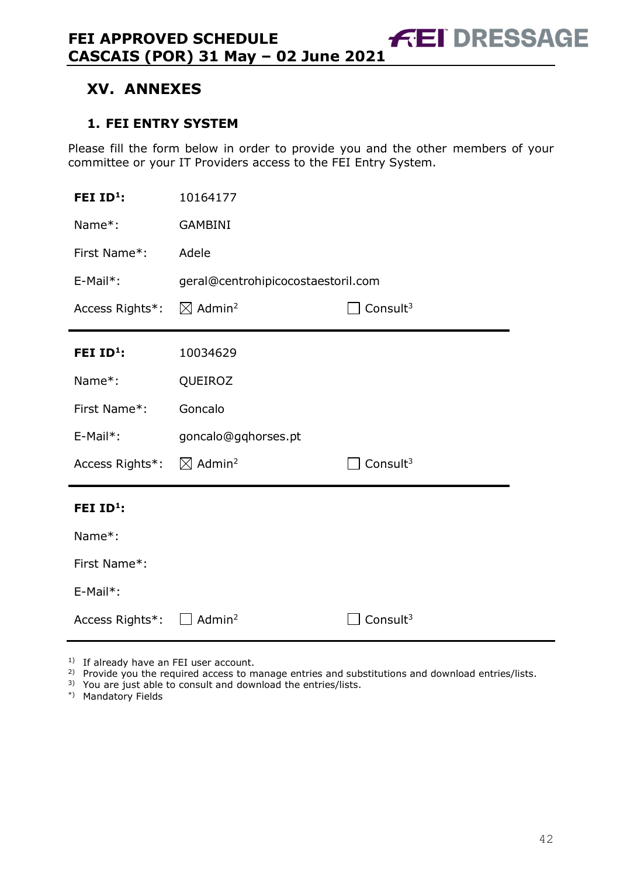# <span id="page-41-0"></span>**XV. ANNEXES**

### <span id="page-41-1"></span>**1. FEI ENTRY SYSTEM**

Please fill the form below in order to provide you and the other members of your committee or your IT Providers access to the FEI Entry System.

| FEI $ID^1$ :          | 10164177                           |                      |  |  |  |
|-----------------------|------------------------------------|----------------------|--|--|--|
| Name*:                | <b>GAMBINI</b>                     |                      |  |  |  |
| First Name*:          | Adele                              |                      |  |  |  |
| E-Mail*:              | geral@centrohipicocostaestoril.com |                      |  |  |  |
| Access Rights*:       | $\boxtimes$ Admin <sup>2</sup>     | Consult $3$          |  |  |  |
| FEI ID <sup>1</sup> : | 10034629                           |                      |  |  |  |
| Name*:                | QUEIROZ                            |                      |  |  |  |
| First Name*:          | Goncalo                            |                      |  |  |  |
| $E-Mail*$ :           | goncalo@gqhorses.pt                |                      |  |  |  |
| Access Rights*:       | $\boxtimes$ Admin <sup>2</sup>     | Consult <sup>3</sup> |  |  |  |
| FEI $ID^1$ :          |                                    |                      |  |  |  |
| Name*:                |                                    |                      |  |  |  |
| First Name*:          |                                    |                      |  |  |  |
| E-Mail*:              |                                    |                      |  |  |  |
| Access Rights*:       | Admin <sup>2</sup>                 | Consult <sup>3</sup> |  |  |  |

<sup>1)</sup> If already have an FEI user account.

<sup>2)</sup> Provide you the required access to manage entries and substitutions and download entries/lists.

3) You are just able to consult and download the entries/lists.

\*) Mandatory Fields